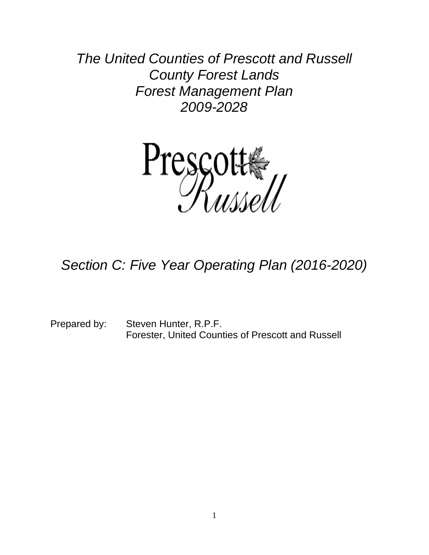*The United Counties of Prescott and Russell County Forest Lands Forest Management Plan 2009-2028*



# *Section C: Five Year Operating Plan (2016-2020)*

Prepared by: Steven Hunter, R.P.F. Forester, United Counties of Prescott and Russell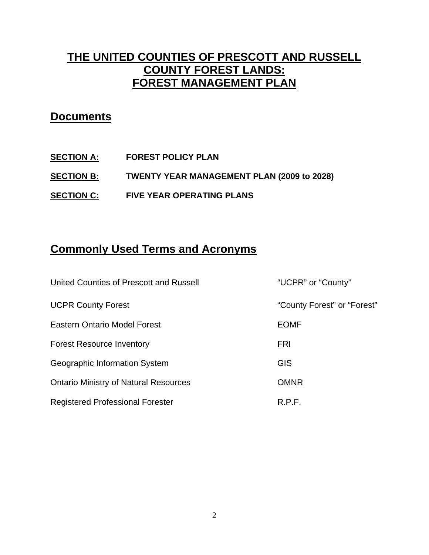# **THE UNITED COUNTIES OF PRESCOTT AND RUSSELL COUNTY FOREST LANDS: FOREST MANAGEMENT PLAN**

# **Documents**

- **SECTION A: FOREST POLICY PLAN**
- **SECTION B: TWENTY YEAR MANAGEMENT PLAN (2009 to 2028)**
- **SECTION C: FIVE YEAR OPERATING PLANS**

# **Commonly Used Terms and Acronyms**

| United Counties of Prescott and Russell      | "UCPR" or "County"          |
|----------------------------------------------|-----------------------------|
| <b>UCPR County Forest</b>                    | "County Forest" or "Forest" |
| <b>Eastern Ontario Model Forest</b>          | <b>EOMF</b>                 |
| <b>Forest Resource Inventory</b>             | <b>FRI</b>                  |
| Geographic Information System                | <b>GIS</b>                  |
| <b>Ontario Ministry of Natural Resources</b> | <b>OMNR</b>                 |
| <b>Registered Professional Forester</b>      | R.P.F.                      |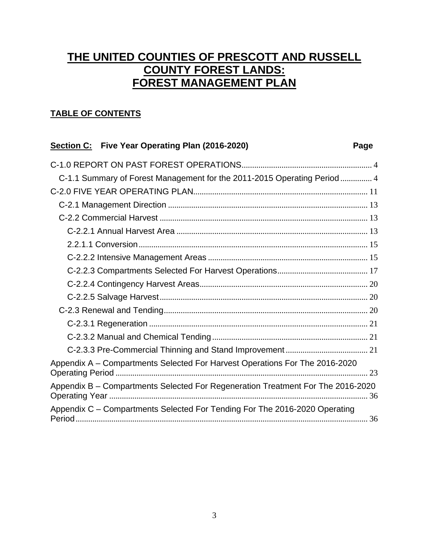# **THE UNITED COUNTIES OF PRESCOTT AND RUSSELL COUNTY FOREST LANDS: FOREST MANAGEMENT PLAN**

## **TABLE OF CONTENTS**

### **Section C: Five Year Operating Plan (2016-2020) Page**

| C-1.1 Summary of Forest Management for the 2011-2015 Operating Period  4              |  |
|---------------------------------------------------------------------------------------|--|
|                                                                                       |  |
|                                                                                       |  |
|                                                                                       |  |
|                                                                                       |  |
|                                                                                       |  |
|                                                                                       |  |
|                                                                                       |  |
|                                                                                       |  |
|                                                                                       |  |
|                                                                                       |  |
|                                                                                       |  |
|                                                                                       |  |
|                                                                                       |  |
| Appendix A – Compartments Selected For Harvest Operations For The 2016-2020<br>23     |  |
| Appendix B - Compartments Selected For Regeneration Treatment For The 2016-2020<br>36 |  |
| Appendix C - Compartments Selected For Tending For The 2016-2020 Operating            |  |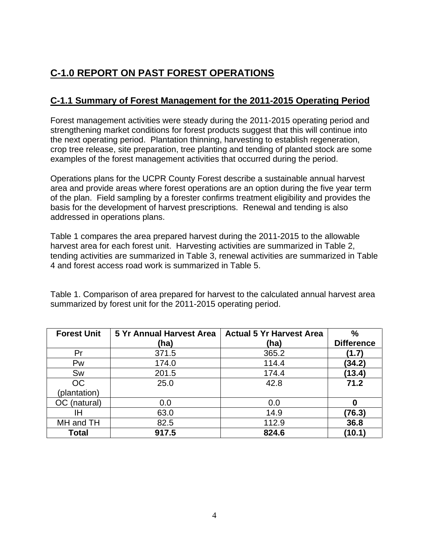# <span id="page-3-0"></span>**C-1.0 REPORT ON PAST FOREST OPERATIONS**

## <span id="page-3-1"></span>**C-1.1 Summary of Forest Management for the 2011-2015 Operating Period**

Forest management activities were steady during the 2011-2015 operating period and strengthening market conditions for forest products suggest that this will continue into the next operating period. Plantation thinning, harvesting to establish regeneration, crop tree release, site preparation, tree planting and tending of planted stock are some examples of the forest management activities that occurred during the period.

Operations plans for the UCPR County Forest describe a sustainable annual harvest area and provide areas where forest operations are an option during the five year term of the plan. Field sampling by a forester confirms treatment eligibility and provides the basis for the development of harvest prescriptions. Renewal and tending is also addressed in operations plans.

Table 1 compares the area prepared harvest during the 2011-2015 to the allowable harvest area for each forest unit. Harvesting activities are summarized in Table 2, tending activities are summarized in Table 3, renewal activities are summarized in Table 4 and forest access road work is summarized in Table 5.

Table 1. Comparison of area prepared for harvest to the calculated annual harvest area summarized by forest unit for the 2011-2015 operating period.

| <b>Forest Unit</b> | <b>5 Yr Annual Harvest Area</b> | <b>Actual 5 Yr Harvest Area</b> | $\frac{0}{0}$     |
|--------------------|---------------------------------|---------------------------------|-------------------|
|                    | (ha)                            | (ha)                            | <b>Difference</b> |
| Pr                 | 371.5                           | 365.2                           | (1.7)             |
| Pw                 | 174.0                           | 114.4                           | (34.2)            |
| Sw                 | 201.5                           | 174.4                           | (13.4)            |
| <b>OC</b>          | 25.0                            | 42.8                            | 71.2              |
| (plantation)       |                                 |                                 |                   |
| OC (natural)       | 0.0                             | 0.0                             | 0                 |
| ΙH                 | 63.0                            | 14.9                            | (76.3)            |
| MH and TH          | 82.5                            | 112.9                           | 36.8              |
| <b>Total</b>       | 917.5                           | 824.6                           | (10.1)            |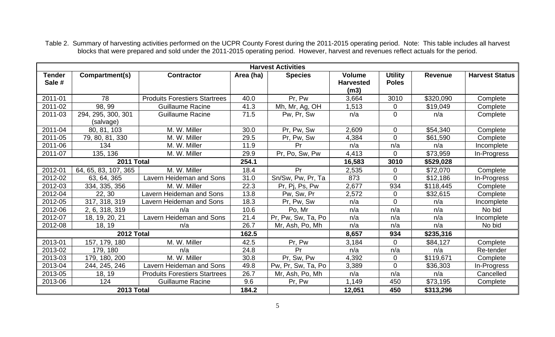Table 2. Summary of harvesting activities performed on the UCPR County Forest during the 2011-2015 operating period. Note: This table includes all harvest blocks that were prepared and sold under the 2011-2015 operating period. However, harvest and revenues reflect actuals for the period.

|                  | <b>Harvest Activities</b>       |                                      |           |                    |                                           |                                |                |                       |  |
|------------------|---------------------------------|--------------------------------------|-----------|--------------------|-------------------------------------------|--------------------------------|----------------|-----------------------|--|
| Tender<br>Sale # | Compartment(s)                  | <b>Contractor</b>                    | Area (ha) | <b>Species</b>     | <b>Volume</b><br><b>Harvested</b><br>(m3) | <b>Utility</b><br><b>Poles</b> | <b>Revenue</b> | <b>Harvest Status</b> |  |
| 2011-01          | 78                              | <b>Produits Forestiers Startrees</b> | 40.0      | Pr, Pw             | 3,664                                     | 3010                           | \$320,090      | Complete              |  |
| 2011-02          | 98, 99                          | <b>Guillaume Racine</b>              | 41.3      | Mh, Mr, Ag, OH     | 1,513                                     | $\mathbf 0$                    | \$19,049       | Complete              |  |
| 2011-03          | 294, 295, 300, 301<br>(salvage) | <b>Guillaume Racine</b>              | 71.5      | Pw, Pr, Sw         | n/a                                       | $\mathbf{0}$                   | n/a            | Complete              |  |
| 2011-04          | 80, 81, 103                     | M. W. Miller                         | 30.0      | Pr, Pw, Sw         | 2,609                                     | $\overline{0}$                 | \$54,340       | Complete              |  |
| 2011-05          | 79, 80, 81, 330                 | M. W. Miller                         | 29.5      | Pr, Pw, Sw         | 4,384                                     | $\Omega$                       | \$61,590       | Complete              |  |
| 2011-06          | 134                             | M. W. Miller                         | 11.9      | Pr                 | n/a                                       | n/a                            | n/a            | Incomplete            |  |
| 2011-07          | 135, 136                        | M. W. Miller                         | 29.9      | Pr, Po, Sw, Pw     | 4,413                                     | $\Omega$                       | \$73,959       | In-Progress           |  |
| 2011 Total       |                                 | 254.1                                |           | 16,583             | 3010                                      | \$529,028                      |                |                       |  |
| 2012-01          | 64, 65, 83, 107, 365            | M. W. Miller                         | 18.4      | Pr                 | 2,535                                     | $\mathbf 0$                    | \$72,070       | Complete              |  |
| 2012-02          | 63, 64, 365                     | <b>Lavern Heideman and Sons</b>      | 31.0      | Sn/Sw, Pw, Pr, Ta  | 873                                       | 0                              | \$12,186       | In-Progress           |  |
| 2012-03          | 334, 335, 356                   | M. W. Miller                         | 22.3      | Pr, Pj, Ps, Pw     | 2,677                                     | 934                            | \$118,445      | Complete              |  |
| 2012-04          | 22, 30                          | Lavern Heideman and Sons             | 13.8      | Pw, Sw, Pr         | 2,572                                     | $\mathbf 0$                    | \$32,615       | Complete              |  |
| 2012-05          | 317, 318, 319                   | Lavern Heideman and Sons             | 18.3      | Pr, Pw, Sw         | n/a                                       | $\overline{0}$                 | n/a            | Incomplete            |  |
| 2012-06          | 2, 6, 318, 319                  | n/a                                  | 10.6      | Po, Mr             | n/a                                       | n/a                            | n/a            | No bid                |  |
| 2012-07          | 18, 19, 20, 21                  | Lavern Heideman and Sons             | 21.4      | Pr, Pw, Sw, Ta, Po | n/a                                       | n/a                            | n/a            | Incomplete            |  |
| 2012-08          | 18, 19                          | n/a                                  | 26.7      | Mr, Ash, Po, Mh    | n/a                                       | n/a                            | n/a            | No bid                |  |
|                  | 2012 Total                      |                                      | 162.5     |                    | 8,657                                     | 934                            | \$235,316      |                       |  |
| 2013-01          | 157, 179, 180                   | M. W. Miller                         | 42.5      | Pr, Pw             | 3,184                                     | $\mathbf 0$                    | \$84,127       | Complete              |  |
| 2013-02          | 179, 180                        | n/a                                  | 24.8      | Pr                 | n/a                                       | n/a                            | n/a            | Re-tender             |  |
| 2013-03          | 179, 180, 200                   | M. W. Miller                         | 30.8      | Pr, Sw, Pw         | 4,392                                     | $\mathbf 0$                    | \$119,671      | Complete              |  |
| 2013-04          | 244, 245, 246                   | Lavern Heideman and Sons             | 49.8      | Pw, Pr, Sw, Ta, Po | 3,389                                     | $\overline{0}$                 | \$36,303       | In-Progress           |  |
| 2013-05          | 18, 19                          | <b>Produits Forestiers Startrees</b> | 26.7      | Mr, Ash, Po, Mh    | n/a                                       | n/a                            | n/a            | Cancelled             |  |
| 2013-06          | 124                             | <b>Guillaume Racine</b>              | 9.6       | Pr, Pw             | 1,149                                     | 450                            | \$73,195       | Complete              |  |
|                  | 2013 Total                      |                                      | 184.2     |                    | 12,051                                    | 450                            | \$313,296      |                       |  |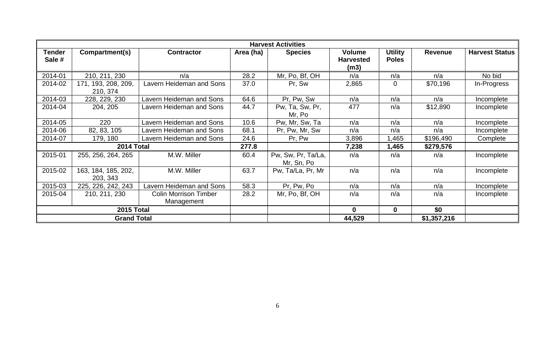|                         | <b>Harvest Activities</b>       |                                            |           |                                  |                                           |                                |             |                       |  |  |
|-------------------------|---------------------------------|--------------------------------------------|-----------|----------------------------------|-------------------------------------------|--------------------------------|-------------|-----------------------|--|--|
| <b>Tender</b><br>Sale # | Compartment(s)                  | <b>Contractor</b>                          | Area (ha) | <b>Species</b>                   | <b>Volume</b><br><b>Harvested</b><br>(m3) | <b>Utility</b><br><b>Poles</b> | Revenue     | <b>Harvest Status</b> |  |  |
| 2014-01                 | 210, 211, 230                   | n/a                                        | 28.2      | Mr, Po, Bf, OH                   | n/a                                       | n/a                            | n/a         | No bid                |  |  |
| 2014-02                 | 171, 193, 208, 209,<br>210, 374 | <b>Lavern Heideman and Sons</b>            | 37.0      | Pr, Sw                           | 2,865                                     | $\mathbf 0$                    | \$70,196    | In-Progress           |  |  |
| 2014-03                 | 228, 229, 230                   | <b>Lavern Heideman and Sons</b>            | 64.6      | Pr, Pw, Sw                       | n/a                                       | n/a                            | n/a         | Incomplete            |  |  |
| 2014-04                 | 204, 205                        | <b>Lavern Heideman and Sons</b>            | 44.7      | Pw, Ta, Sw, Pr,<br>Mr, Po        | 477                                       | n/a                            | \$12,890    | Incomplete            |  |  |
| 2014-05                 | 220                             | Lavern Heideman and Sons                   | 10.6      | Pw, Mr, Sw, Ta                   | n/a                                       | n/a                            | n/a         | Incomplete            |  |  |
| 2014-06                 | 82, 83, 105                     | <b>Lavern Heideman and Sons</b>            | 68.1      | Pr, Pw, Mr, Sw                   | n/a                                       | n/a                            | n/a         | Incomplete            |  |  |
| 2014-07                 | 179, 180                        | <b>Lavern Heideman and Sons</b>            | 24.6      | Pr, Pw                           | 3,896                                     | ,465                           | \$196,490   | Complete              |  |  |
|                         | 2014 Total                      |                                            | 277.8     |                                  | 7,238                                     | 1,465                          | \$279,576   |                       |  |  |
| 2015-01                 | 255, 256, 264, 265              | M.W. Miller                                | 60.4      | Pw, Sw, Pr, Ta/La,<br>Mr, Sn, Po | n/a                                       | n/a                            | n/a         | Incomplete            |  |  |
| 2015-02                 | 163, 184, 185, 202,<br>203, 343 | M.W. Miller                                | 63.7      | Pw, Ta/La, Pr, Mr                | n/a                                       | n/a                            | n/a         | Incomplete            |  |  |
| 2015-03                 | 225, 226, 242, 243              | Lavern Heideman and Sons                   | 58.3      | Pr, Pw, Po                       | n/a                                       | n/a                            | n/a         | Incomplete            |  |  |
| 2015-04                 | 210, 211, 230                   | <b>Colin Morrison Timber</b><br>Management | 28.2      | Mr, Po, Bf, OH                   | n/a                                       | n/a                            | n/a         | Incomplete            |  |  |
|                         | 2015 Total                      |                                            |           |                                  | $\bf{0}$                                  | $\mathbf 0$                    | \$0         |                       |  |  |
|                         | <b>Grand Total</b>              |                                            |           |                                  | 44,529                                    |                                | \$1,357,216 |                       |  |  |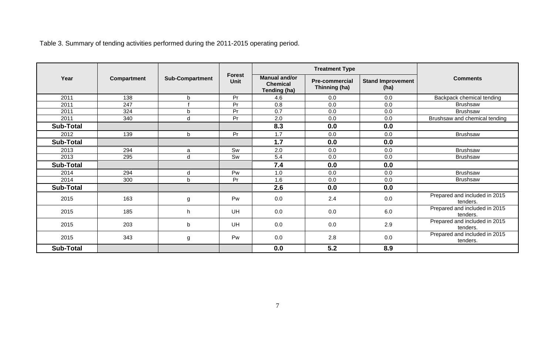|                  |             |                        |                              |                                                         | <b>Treatment Type</b>                  |                                  |                                           |
|------------------|-------------|------------------------|------------------------------|---------------------------------------------------------|----------------------------------------|----------------------------------|-------------------------------------------|
| Year             | Compartment | <b>Sub-Compartment</b> | <b>Forest</b><br><b>Unit</b> | <b>Manual and/or</b><br><b>Chemical</b><br>Tending (ha) | <b>Pre-commercial</b><br>Thinning (ha) | <b>Stand Improvement</b><br>(ha) | <b>Comments</b>                           |
| 2011             | 138         | b                      | Pr                           | 4.6                                                     | 0.0                                    | 0.0                              | Backpack chemical tending                 |
| 2011             | 247         |                        | Pr                           | 0.8                                                     | 0.0                                    | 0.0                              | <b>Brushsaw</b>                           |
| 2011             | 324         | b                      | Pr                           | 0.7                                                     | 0.0                                    | 0.0                              | <b>Brushsaw</b>                           |
| 2011             | 340         | d                      | Pr                           | 2.0                                                     | 0.0                                    | 0.0                              | Brushsaw and chemical tending             |
| <b>Sub-Total</b> |             |                        |                              | 8.3                                                     | 0.0                                    | 0.0                              |                                           |
| 2012             | 139         | $\mathbf b$            | Pr                           | 1.7                                                     | 0.0                                    | 0.0                              | <b>Brushsaw</b>                           |
| <b>Sub-Total</b> |             |                        |                              | 1.7                                                     | 0.0                                    | 0.0                              |                                           |
| 2013             | 294         | a                      | Sw                           | 2.0                                                     | 0.0                                    | 0.0                              | <b>Brushsaw</b>                           |
| 2013             | 295         | d                      | Sw                           | 5.4                                                     | 0.0                                    | 0.0                              | Brushsaw                                  |
| <b>Sub-Total</b> |             |                        |                              | 7.4                                                     | 0.0                                    | 0.0                              |                                           |
| 2014             | 294         | d                      | Pw                           | 1.0                                                     | 0.0                                    | 0.0                              | <b>Brushsaw</b>                           |
| 2014             | 300         | b                      | Pr                           | 1.6                                                     | 0.0                                    | 0.0                              | <b>Brushsaw</b>                           |
| <b>Sub-Total</b> |             |                        |                              | 2.6                                                     | 0.0                                    | 0.0                              |                                           |
| 2015             | 163         | g                      | Pw                           | 0.0                                                     | 2.4                                    | 0.0                              | Prepared and included in 2015<br>tenders. |
| 2015             | 185         | h                      | UH                           | 0.0                                                     | 0.0                                    | 6.0                              | Prepared and included in 2015<br>tenders. |
| 2015             | 203         | b                      | UH                           | 0.0                                                     | 0.0                                    | 2.9                              | Prepared and included in 2015<br>tenders. |
| 2015             | 343         | g                      | Pw                           | 0.0                                                     | 2.8                                    | 0.0                              | Prepared and included in 2015<br>tenders. |
| <b>Sub-Total</b> |             |                        |                              | 0.0                                                     | 5.2                                    | 8.9                              |                                           |

Table 3. Summary of tending activities performed during the 2011-2015 operating period.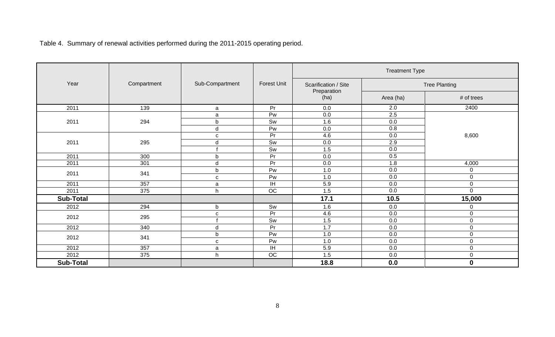Table 4. Summary of renewal activities performed during the 2011-2015 operating period.

|                  |             |                 |                    |                      | <b>Treatment Type</b> |                  |  |
|------------------|-------------|-----------------|--------------------|----------------------|-----------------------|------------------|--|
| Year             | Compartment | Sub-Compartment | <b>Forest Unit</b> | Scarification / Site | <b>Tree Planting</b>  |                  |  |
|                  |             |                 |                    | Preparation<br>(ha)  | Area (ha)             | # of trees       |  |
| 2011             | 139         | a               | Pr                 | 0.0                  | 2.0                   | 2400             |  |
|                  |             | a               | Pw                 | 0.0                  | 2.5                   |                  |  |
| 2011             | 294         | $\mathsf b$     | Sw                 | 1.6                  | 0.0                   |                  |  |
|                  |             | $\sf d$         | Pw                 | 0.0                  | 0.8                   |                  |  |
|                  |             | C               | Pr                 | 4.6                  | 0.0                   | 8,600            |  |
| 2011             | 295         | $\sf d$         | Sw                 | 0.0                  | 2.9                   |                  |  |
|                  |             |                 | Sw                 | 1.5                  | 0.0                   |                  |  |
| 2011             | 300         | $\mathsf b$     | Pr                 | 0.0                  | 0.5                   |                  |  |
| 2011             | 301         | $\mathsf{d}$    | $\overline{Pr}$    | 0.0                  | 1.8                   | 4,000            |  |
|                  |             | $\mathsf b$     | Pw                 | 1.0                  | 0.0                   | 0                |  |
| 2011             | 341         | $\mathbf{C}$    | Pw                 | 1.0                  | 0.0                   | $\pmb{0}$        |  |
| 2011             | 357         | a               | ΙH                 | 5.9                  | 0.0                   | $\pmb{0}$        |  |
| 2011             | 375         | h.              | $\overline{OC}$    | 1.5                  | 0.0                   | $\overline{0}$   |  |
| <b>Sub-Total</b> |             |                 |                    | 17.1                 | 10.5                  | 15,000           |  |
| 2012             | 294         | b               | Sw                 | 1.6                  | 0.0                   | $\mathbf 0$      |  |
| 2012             | 295         | ${\bf c}$       | Pr                 | 4.6                  | 0.0                   | $\pmb{0}$        |  |
|                  |             |                 | Sw                 | 1.5                  | 0.0                   | $\pmb{0}$        |  |
| 2012             | 340         | $\sf d$         | Pr                 | 1.7                  | $0.0\,$               | $\pmb{0}$        |  |
| 2012             | 341         | $\mathsf b$     | Pw                 | 1.0                  | 0.0                   | $\pmb{0}$        |  |
|                  |             | ${\bf C}$       | Pw                 | 1.0                  | 0.0                   | $\pmb{0}$        |  |
| 2012             | 357         | a               | ΙH                 | 5.9                  | 0.0                   | $\pmb{0}$        |  |
| 2012             | 375         | h               | OC                 | 1.5                  | 0.0                   | $\pmb{0}$        |  |
| <b>Sub-Total</b> |             |                 |                    | 18.8                 | 0.0                   | $\boldsymbol{0}$ |  |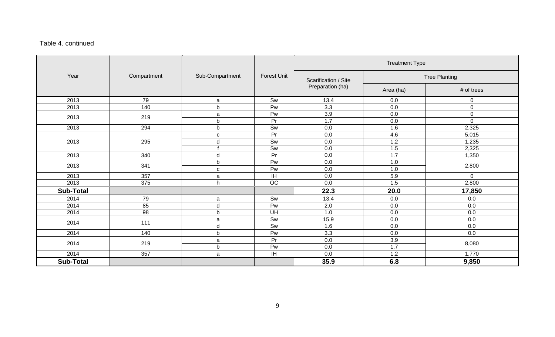### Table 4. continued

|                  |             |                 |                    | <b>Treatment Type</b> |           |                      |  |  |
|------------------|-------------|-----------------|--------------------|-----------------------|-----------|----------------------|--|--|
| Year             | Compartment | Sub-Compartment | <b>Forest Unit</b> | Scarification / Site  |           | <b>Tree Planting</b> |  |  |
|                  |             |                 |                    | Preparation (ha)      | Area (ha) | # of trees           |  |  |
| 2013             | 79          | a               | Sw                 | 13.4                  | 0.0       | 0                    |  |  |
| 2013             | 140         | b               | Pw                 | 3.3                   | 0.0       | 0                    |  |  |
| 2013             | 219         | a               | Pw                 | 3.9                   | 0.0       | $\pmb{0}$            |  |  |
|                  |             | b               | Pr                 | 1.7                   | 0.0       | $\mathbf 0$          |  |  |
| 2013             | 294         | b               | Sw                 | 0.0                   | 1.6       | 2,325                |  |  |
|                  |             | с               | Pr                 | 0.0                   | 4.6       | 5,015                |  |  |
| 2013             | 295         | d               | Sw                 | 0.0                   | 1.2       | 1,235                |  |  |
|                  |             |                 | Sw                 | 0.0                   | 1.5       | 2,325                |  |  |
| 2013             | 340         | d               | Pr                 | 0.0                   | 1.7       | 1,350                |  |  |
| 2013             | 341         | b               | Pw                 | 0.0                   | 1.0       | 2,800                |  |  |
|                  |             | C               | Pw                 | 0.0                   | 1.0       |                      |  |  |
| 2013             | 357         | a               | IH.                | 0.0                   | 5.9       | $\mathbf 0$          |  |  |
| 2013             | 375         | h               | OC                 | 0.0                   | 1.5       | 2,800                |  |  |
| <b>Sub-Total</b> |             |                 |                    | 22.3                  | 20.0      | 17,850               |  |  |
| 2014             | 79          | a               | Sw                 | 13.4                  | 0.0       | 0.0                  |  |  |
| 2014             | 85          | d               | Pw                 | 2.0                   | 0.0       | 0.0                  |  |  |
| 2014             | 98          | b               | UH                 | 1.0                   | 0.0       | 0.0                  |  |  |
|                  | 111         | a               | Sw                 | 15.9                  | 0.0       | 0.0                  |  |  |
| 2014             |             | d               | Sw                 | 1.6                   | 0.0       | 0.0                  |  |  |
| 2014             | 140         | b               | Pw                 | 3.3                   | 0.0       | 0.0                  |  |  |
| 2014             | 219         | a               | Pr                 | 0.0                   | 3.9       | 8,080                |  |  |
|                  |             | b               | Pw                 | 0.0                   | 1.7       |                      |  |  |
| 2014             | 357         | a               | IH.                | 0.0                   | 1.2       | 1,770                |  |  |
| <b>Sub-Total</b> |             |                 |                    | 35.9                  | 6.8       | 9,850                |  |  |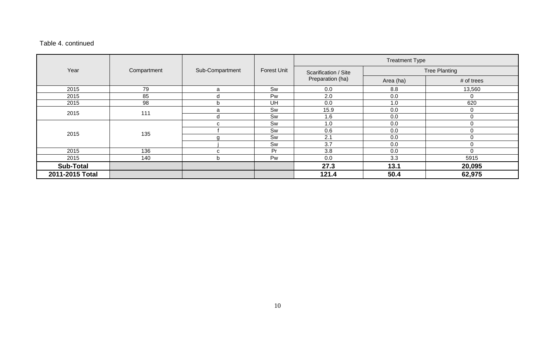### Table 4. continued

|                  |             |                 |             | <b>Treatment Type</b> |           |                      |  |
|------------------|-------------|-----------------|-------------|-----------------------|-----------|----------------------|--|
| Year             | Compartment | Sub-Compartment | Forest Unit | Scarification / Site  |           | <b>Tree Planting</b> |  |
|                  |             |                 |             | Preparation (ha)      | Area (ha) | # of trees           |  |
| 2015             | 79          | a               | Sw          | 0.0                   | 8.8       | 13,560               |  |
| 2015             | 85          | d               | Pw          | 2.0                   | 0.0       | 0                    |  |
| 2015             | 98          | b               | UH          | 0.0                   | 1.0       | 620                  |  |
| 2015             | 111         | a               | Sw          | 15.9                  | 0.0       | 0                    |  |
|                  |             | d               | Sw          | 1.6                   | 0.0       | $\Omega$             |  |
|                  |             | C               | Sw          | 1.0                   | 0.0       | $\Omega$             |  |
| 2015             | 135         |                 | Sw          | 0.6                   | 0.0       | $\mathbf 0$          |  |
|                  |             |                 | Sw          | 2.1                   | 0.0       | $\Omega$             |  |
|                  |             |                 | Sw          | 3.7                   | 0.0       | $\mathbf 0$          |  |
| 2015             | 136         | C               | Pr          | 3.8                   | 0.0       | $\Omega$             |  |
| 2015             | 140         | n               | Pw          | 0.0                   | 3.3       | 5915                 |  |
| <b>Sub-Total</b> |             |                 |             | 27.3                  | 13.1      | 20,095               |  |
| 2011-2015 Total  |             |                 |             | 121.4                 | 50.4      | 62,975               |  |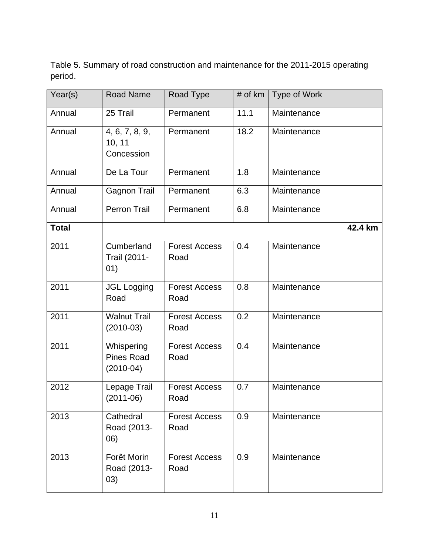<span id="page-10-0"></span>Table 5. Summary of road construction and maintenance for the 2011-2015 operating period.

| Year(s)      | <b>Road Name</b>                               | Road Type                    | # of km | Type of Work |
|--------------|------------------------------------------------|------------------------------|---------|--------------|
| Annual       | 25 Trail                                       | Permanent                    | 11.1    | Maintenance  |
| Annual       | 4, 6, 7, 8, 9,<br>10, 11<br>Concession         | Permanent                    | 18.2    | Maintenance  |
| Annual       | De La Tour                                     | Permanent                    | 1.8     | Maintenance  |
| Annual       | <b>Gagnon Trail</b>                            | Permanent                    | 6.3     | Maintenance  |
| Annual       | <b>Perron Trail</b>                            | Permanent                    | 6.8     | Maintenance  |
| <b>Total</b> |                                                |                              |         | 42.4 km      |
| 2011         | Cumberland<br>Trail (2011-<br>01)              | <b>Forest Access</b><br>Road | 0.4     | Maintenance  |
| 2011         | <b>JGL Logging</b><br>Road                     | <b>Forest Access</b><br>Road | 0.8     | Maintenance  |
| 2011         | <b>Walnut Trail</b><br>$(2010-03)$             | <b>Forest Access</b><br>Road | 0.2     | Maintenance  |
| 2011         | Whispering<br><b>Pines Road</b><br>$(2010-04)$ | <b>Forest Access</b><br>Road | 0.4     | Maintenance  |
| 2012         | Lepage Trail<br>$(2011-06)$                    | <b>Forest Access</b><br>Road | 0.7     | Maintenance  |
| 2013         | Cathedral<br>Road (2013-<br>06)                | <b>Forest Access</b><br>Road | 0.9     | Maintenance  |
| 2013         | Forêt Morin<br>Road (2013-<br>(03)             | <b>Forest Access</b><br>Road | 0.9     | Maintenance  |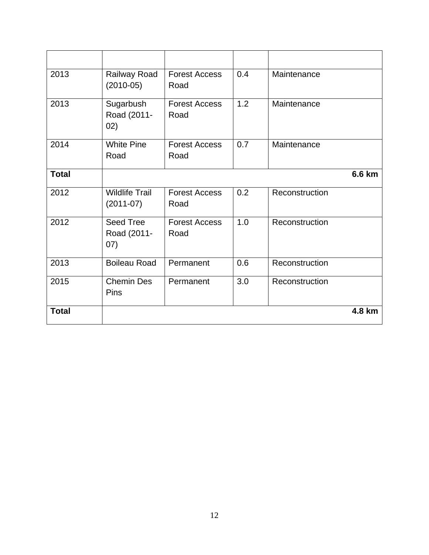| 2013         | Railway Road<br>$(2010-05)$             | <b>Forest Access</b><br>Road | 0.4 | Maintenance    |
|--------------|-----------------------------------------|------------------------------|-----|----------------|
| 2013         | Sugarbush<br>Road (2011-<br>02)         | <b>Forest Access</b><br>Road | 1.2 | Maintenance    |
| 2014         | <b>White Pine</b><br>Road               | <b>Forest Access</b><br>Road | 0.7 | Maintenance    |
| <b>Total</b> |                                         |                              |     | 6.6 km         |
| 2012         | <b>Wildlife Trail</b><br>$(2011-07)$    | <b>Forest Access</b><br>Road | 0.2 | Reconstruction |
| 2012         | <b>Seed Tree</b><br>Road (2011-<br>(07) | <b>Forest Access</b><br>Road | 1.0 | Reconstruction |
| 2013         | <b>Boileau Road</b>                     | Permanent                    | 0.6 | Reconstruction |
| 2015         | <b>Chemin Des</b><br>Pins               | Permanent                    | 3.0 | Reconstruction |
| <b>Total</b> |                                         |                              |     | 4.8 km         |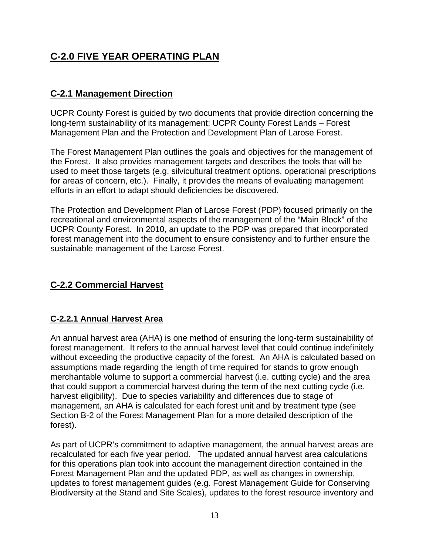# **C-2.0 FIVE YEAR OPERATING PLAN**

## <span id="page-12-0"></span>**C-2.1 Management Direction**

UCPR County Forest is guided by two documents that provide direction concerning the long-term sustainability of its management; UCPR County Forest Lands – Forest Management Plan and the Protection and Development Plan of Larose Forest.

The Forest Management Plan outlines the goals and objectives for the management of the Forest. It also provides management targets and describes the tools that will be used to meet those targets (e.g. silvicultural treatment options, operational prescriptions for areas of concern, etc.). Finally, it provides the means of evaluating management efforts in an effort to adapt should deficiencies be discovered.

The Protection and Development Plan of Larose Forest (PDP) focused primarily on the recreational and environmental aspects of the management of the "Main Block" of the UCPR County Forest. In 2010, an update to the PDP was prepared that incorporated forest management into the document to ensure consistency and to further ensure the sustainable management of the Larose Forest.

## <span id="page-12-1"></span>**C-2.2 Commercial Harvest**

### <span id="page-12-2"></span>**C-2.2.1 Annual Harvest Area**

An annual harvest area (AHA) is one method of ensuring the long-term sustainability of forest management. It refers to the annual harvest level that could continue indefinitely without exceeding the productive capacity of the forest. An AHA is calculated based on assumptions made regarding the length of time required for stands to grow enough merchantable volume to support a commercial harvest (i.e. cutting cycle) and the area that could support a commercial harvest during the term of the next cutting cycle (i.e. harvest eligibility). Due to species variability and differences due to stage of management, an AHA is calculated for each forest unit and by treatment type (see Section B-2 of the Forest Management Plan for a more detailed description of the forest).

As part of UCPR's commitment to adaptive management, the annual harvest areas are recalculated for each five year period. The updated annual harvest area calculations for this operations plan took into account the management direction contained in the Forest Management Plan and the updated PDP, as well as changes in ownership, updates to forest management guides (e.g. Forest Management Guide for Conserving Biodiversity at the Stand and Site Scales), updates to the forest resource inventory and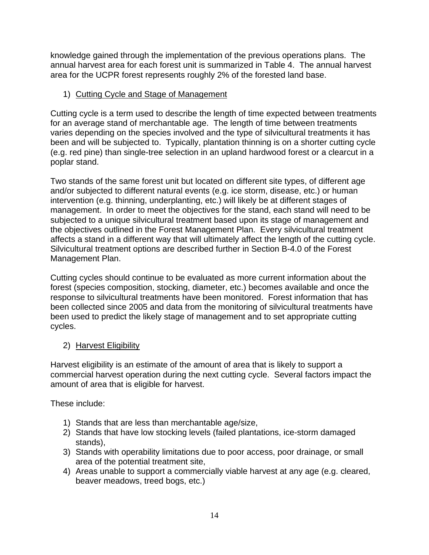knowledge gained through the implementation of the previous operations plans. The annual harvest area for each forest unit is summarized in Table 4. The annual harvest area for the UCPR forest represents roughly 2% of the forested land base.

### 1) Cutting Cycle and Stage of Management

Cutting cycle is a term used to describe the length of time expected between treatments for an average stand of merchantable age. The length of time between treatments varies depending on the species involved and the type of silvicultural treatments it has been and will be subjected to. Typically, plantation thinning is on a shorter cutting cycle (e.g. red pine) than single-tree selection in an upland hardwood forest or a clearcut in a poplar stand.

Two stands of the same forest unit but located on different site types, of different age and/or subjected to different natural events (e.g. ice storm, disease, etc.) or human intervention (e.g. thinning, underplanting, etc.) will likely be at different stages of management. In order to meet the objectives for the stand, each stand will need to be subjected to a unique silvicultural treatment based upon its stage of management and the objectives outlined in the Forest Management Plan. Every silvicultural treatment affects a stand in a different way that will ultimately affect the length of the cutting cycle. Silvicultural treatment options are described further in Section B-4.0 of the Forest Management Plan.

Cutting cycles should continue to be evaluated as more current information about the forest (species composition, stocking, diameter, etc.) becomes available and once the response to silvicultural treatments have been monitored. Forest information that has been collected since 2005 and data from the monitoring of silvicultural treatments have been used to predict the likely stage of management and to set appropriate cutting cycles.

### 2) Harvest Eligibility

Harvest eligibility is an estimate of the amount of area that is likely to support a commercial harvest operation during the next cutting cycle. Several factors impact the amount of area that is eligible for harvest.

These include:

- 1) Stands that are less than merchantable age/size,
- 2) Stands that have low stocking levels (failed plantations, ice-storm damaged stands),
- 3) Stands with operability limitations due to poor access, poor drainage, or small area of the potential treatment site,
- 4) Areas unable to support a commercially viable harvest at any age (e.g. cleared, beaver meadows, treed bogs, etc.)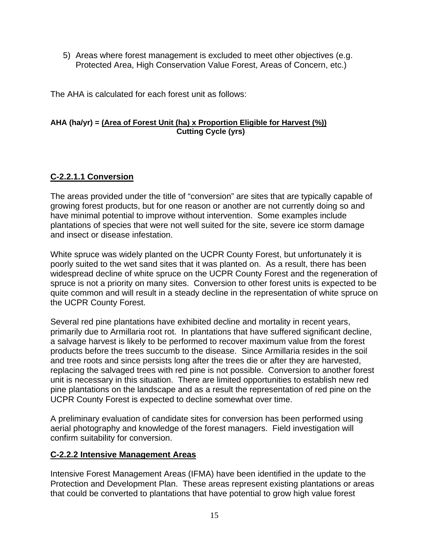5) Areas where forest management is excluded to meet other objectives (e.g. Protected Area, High Conservation Value Forest, Areas of Concern, etc.)

The AHA is calculated for each forest unit as follows:

#### **AHA (ha/yr) = (Area of Forest Unit (ha) x Proportion Eligible for Harvest (%)) Cutting Cycle (yrs)**

#### <span id="page-14-0"></span>**C-2.2.1.1 Conversion**

The areas provided under the title of "conversion" are sites that are typically capable of growing forest products, but for one reason or another are not currently doing so and have minimal potential to improve without intervention. Some examples include plantations of species that were not well suited for the site, severe ice storm damage and insect or disease infestation.

White spruce was widely planted on the UCPR County Forest, but unfortunately it is poorly suited to the wet sand sites that it was planted on. As a result, there has been widespread decline of white spruce on the UCPR County Forest and the regeneration of spruce is not a priority on many sites. Conversion to other forest units is expected to be quite common and will result in a steady decline in the representation of white spruce on the UCPR County Forest.

Several red pine plantations have exhibited decline and mortality in recent years, primarily due to Armillaria root rot. In plantations that have suffered significant decline, a salvage harvest is likely to be performed to recover maximum value from the forest products before the trees succumb to the disease. Since Armillaria resides in the soil and tree roots and since persists long after the trees die or after they are harvested, replacing the salvaged trees with red pine is not possible. Conversion to another forest unit is necessary in this situation. There are limited opportunities to establish new red pine plantations on the landscape and as a result the representation of red pine on the UCPR County Forest is expected to decline somewhat over time.

A preliminary evaluation of candidate sites for conversion has been performed using aerial photography and knowledge of the forest managers. Field investigation will confirm suitability for conversion.

#### <span id="page-14-1"></span>**C-2.2.2 Intensive Management Areas**

Intensive Forest Management Areas (IFMA) have been identified in the update to the Protection and Development Plan. These areas represent existing plantations or areas that could be converted to plantations that have potential to grow high value forest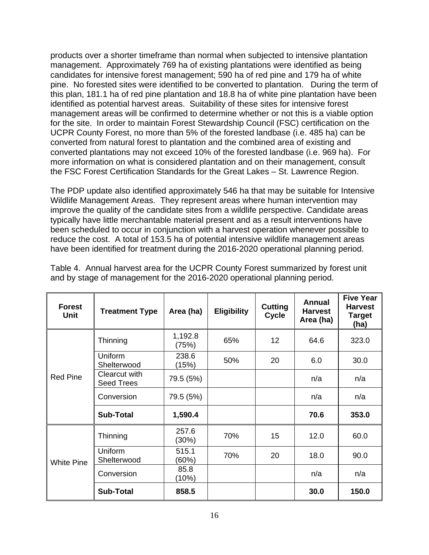products over a shorter timeframe than normal when subjected to intensive plantation management. Approximately 769 ha of existing plantations were identified as being candidates for intensive forest management; 590 ha of red pine and 179 ha of white pine. No forested sites were identified to be converted to plantation. During the term of this plan, 181.1 ha of red pine plantation and 18.8 ha of white pine plantation have been identified as potential harvest areas. Suitability of these sites for intensive forest management areas will be confirmed to determine whether or not this is a viable option for the site. In order to maintain Forest Stewardship Council (FSC) certification on the UCPR County Forest, no more than 5% of the forested landbase (i.e. 485 ha) can be converted from natural forest to plantation and the combined area of existing and converted plantations may not exceed 10% of the forested landbase (i.e. 969 ha). For more information on what is considered plantation and on their management, consult the FSC Forest Certification Standards for the Great Lakes – St. Lawrence Region.

The PDP update also identified approximately 546 ha that may be suitable for Intensive Wildlife Management Areas. They represent areas where human intervention may improve the quality of the candidate sites from a wildlife perspective. Candidate areas typically have little merchantable material present and as a result interventions have been scheduled to occur in conjunction with a harvest operation whenever possible to reduce the cost. A total of 153.5 ha of potential intensive wildlife management areas have been identified for treatment during the 2016-2020 operational planning period.

| <b>Forest</b><br><b>Unit</b> | <b>Treatment Type</b>              | Area (ha)        | <b>Eligibility</b> | <b>Cutting</b><br><b>Cycle</b> | <b>Annual</b><br><b>Harvest</b><br>Area (ha) | <b>Five Year</b><br><b>Harvest</b><br><b>Target</b><br>(ha) |
|------------------------------|------------------------------------|------------------|--------------------|--------------------------------|----------------------------------------------|-------------------------------------------------------------|
|                              | Thinning                           | 1,192.8<br>(75%) | 65%                | 12                             | 64.6                                         | 323.0                                                       |
|                              | Uniform<br>Shelterwood             | 238.6<br>(15%)   | 50%                | 20                             | 6.0                                          | 30.0                                                        |
| <b>Red Pine</b>              | Clearcut with<br><b>Seed Trees</b> | 79.5 (5%)        |                    |                                | n/a                                          | n/a                                                         |
|                              | Conversion                         | 79.5 (5%)        |                    |                                | n/a                                          | n/a                                                         |
|                              | <b>Sub-Total</b>                   | 1,590.4          |                    |                                | 70.6                                         | 353.0                                                       |
|                              | Thinning                           | 257.6<br>(30%)   | 70%                | 15                             | 12.0                                         | 60.0                                                        |
| <b>White Pine</b>            | <b>Uniform</b><br>Shelterwood      | 515.1<br>(60%)   | 70%                | 20                             | 18.0                                         | 90.0                                                        |
|                              | Conversion                         | 85.8<br>(10%)    |                    |                                | n/a                                          | n/a                                                         |
|                              | <b>Sub-Total</b>                   | 858.5            |                    |                                | 30.0                                         | 150.0                                                       |

Table 4. Annual harvest area for the UCPR County Forest summarized by forest unit and by stage of management for the 2016-2020 operational planning period.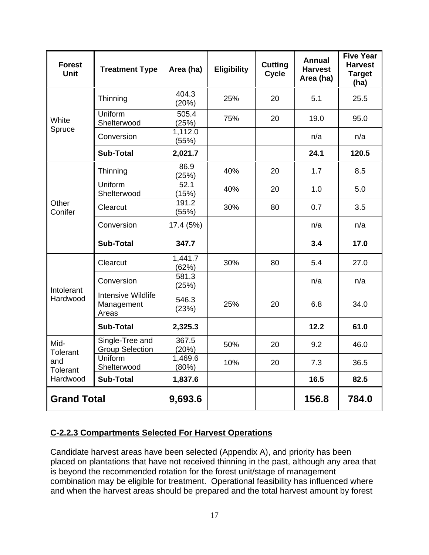| <b>Forest</b><br><b>Unit</b>              | <b>Treatment Type</b>                            | Area (ha)        | <b>Eligibility</b> | <b>Cutting</b><br><b>Cycle</b> | <b>Annual</b><br><b>Harvest</b><br>Area (ha) | <b>Five Year</b><br><b>Harvest</b><br><b>Target</b><br>(ha) |
|-------------------------------------------|--------------------------------------------------|------------------|--------------------|--------------------------------|----------------------------------------------|-------------------------------------------------------------|
|                                           | Thinning                                         | 404.3<br>(20%)   | 25%                | 20                             | 5.1                                          | 25.5                                                        |
| White                                     | Uniform<br>Shelterwood                           | 505.4<br>(25%)   | 75%                | 20                             | 19.0                                         | 95.0                                                        |
| Spruce                                    | Conversion                                       | 1,112.0<br>(55%) |                    |                                | n/a                                          | n/a                                                         |
|                                           | <b>Sub-Total</b>                                 | 2,021.7          |                    |                                | 24.1                                         | 120.5                                                       |
|                                           | Thinning                                         | 86.9<br>(25%)    | 40%                | 20                             | 1.7                                          | 8.5                                                         |
|                                           | Uniform<br>Shelterwood                           | 52.1<br>(15%)    | 40%                | 20                             | 1.0                                          | 5.0                                                         |
| Other<br>Conifer                          | Clearcut                                         | 191.2<br>(55%)   | 30%                | 80                             | 0.7                                          | 3.5                                                         |
|                                           | Conversion                                       | 17.4 (5%)        |                    |                                | n/a                                          | n/a                                                         |
|                                           | <b>Sub-Total</b>                                 | 347.7            |                    |                                | 3.4                                          | 17.0                                                        |
|                                           | Clearcut                                         | 1,441.7<br>(62%) | 30%                | 80                             | 5.4                                          | 27.0                                                        |
| Intolerant                                | Conversion                                       | 581.3<br>(25%)   |                    |                                | n/a                                          | n/a                                                         |
| Hardwood                                  | <b>Intensive Wildlife</b><br>Management<br>Areas | 546.3<br>(23%)   | 25%                | 20                             | 6.8                                          | 34.0                                                        |
|                                           | <b>Sub-Total</b>                                 | 2,325.3          |                    |                                | 12.2                                         | 61.0                                                        |
| Mid-<br><b>Tolerant</b>                   | Single-Tree and<br><b>Group Selection</b>        | 367.5<br>(20%)   | 50%                | 20                             | 9.2                                          | 46.0                                                        |
| Uniform<br>and<br>Shelterwood<br>Tolerant |                                                  | 1,469.6<br>(80%) | 10%                | 20                             | 7.3                                          | 36.5                                                        |
| Hardwood                                  | <b>Sub-Total</b>                                 | 1,837.6          |                    |                                | 16.5                                         | 82.5                                                        |
| <b>Grand Total</b>                        |                                                  | 9,693.6          |                    |                                | 156.8                                        | 784.0                                                       |

### <span id="page-16-0"></span>**C-2.2.3 Compartments Selected For Harvest Operations**

Candidate harvest areas have been selected (Appendix A), and priority has been placed on plantations that have not received thinning in the past, although any area that is beyond the recommended rotation for the forest unit/stage of management combination may be eligible for treatment. Operational feasibility has influenced where and when the harvest areas should be prepared and the total harvest amount by forest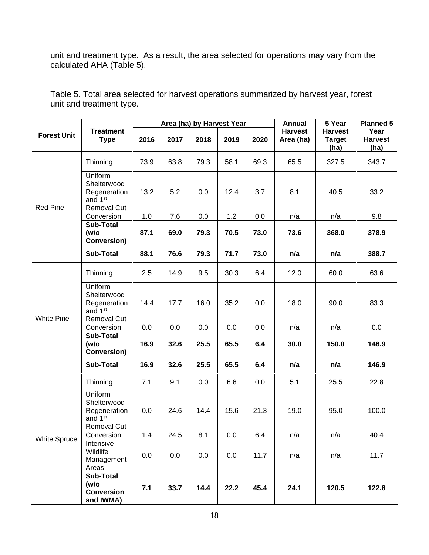unit and treatment type. As a result, the area selected for operations may vary from the calculated AHA (Table 5).

|                     | <b>Treatment</b>                                                             |      | Area (ha) by Harvest Year |      |      |      | <b>Annual</b>               | 5 Year                                  | <b>Planned 5</b>               |
|---------------------|------------------------------------------------------------------------------|------|---------------------------|------|------|------|-----------------------------|-----------------------------------------|--------------------------------|
| <b>Forest Unit</b>  | <b>Type</b>                                                                  | 2016 | 2017                      | 2018 | 2019 | 2020 | <b>Harvest</b><br>Area (ha) | <b>Harvest</b><br><b>Target</b><br>(ha) | Year<br><b>Harvest</b><br>(ha) |
|                     | Thinning                                                                     | 73.9 | 63.8                      | 79.3 | 58.1 | 69.3 | 65.5                        | 327.5                                   | 343.7                          |
| <b>Red Pine</b>     | Uniform<br>Shelterwood<br>Regeneration<br>and 1 <sup>st</sup><br>Removal Cut | 13.2 | 5.2                       | 0.0  | 12.4 | 3.7  | 8.1                         | 40.5                                    | 33.2                           |
|                     | Conversion                                                                   | 1.0  | 7.6                       | 0.0  | 1.2  | 0.0  | n/a                         | n/a                                     | 9.8                            |
|                     | <b>Sub-Total</b><br>(w/o<br><b>Conversion)</b>                               | 87.1 | 69.0                      | 79.3 | 70.5 | 73.0 | 73.6                        | 368.0                                   | 378.9                          |
|                     | <b>Sub-Total</b>                                                             | 88.1 | 76.6                      | 79.3 | 71.7 | 73.0 | n/a                         | n/a                                     | 388.7                          |
|                     | Thinning                                                                     | 2.5  | 14.9                      | 9.5  | 30.3 | 6.4  | 12.0                        | 60.0                                    | 63.6                           |
| <b>White Pine</b>   | Uniform<br>Shelterwood<br>Regeneration<br>and 1 <sup>st</sup><br>Removal Cut | 14.4 | 17.7                      | 16.0 | 35.2 | 0.0  | 18.0                        | 90.0                                    | 83.3                           |
|                     | Conversion                                                                   | 0.0  | 0.0                       | 0.0  | 0.0  | 0.0  | n/a                         | n/a                                     | 0.0                            |
|                     | <b>Sub-Total</b><br>(w/o<br>Conversion)                                      | 16.9 | 32.6                      | 25.5 | 65.5 | 6.4  | 30.0                        | 150.0                                   | 146.9                          |
|                     | <b>Sub-Total</b>                                                             | 16.9 | 32.6                      | 25.5 | 65.5 | 6.4  | n/a                         | n/a                                     | 146.9                          |
|                     | Thinning                                                                     | 7.1  | 9.1                       | 0.0  | 6.6  | 0.0  | 5.1                         | 25.5                                    | 22.8                           |
|                     | Uniform<br>Shelterwood<br>Regeneration<br>and 1 <sup>st</sup><br>Removal Cut | 0.0  | 24.6                      | 14.4 | 15.6 | 21.3 | 19.0                        | 95.0                                    | 100.0                          |
|                     | Conversion                                                                   | 1.4  | 24.5                      | 8.1  | 0.0  | 6.4  | n/a                         | n/a                                     | 40.4                           |
| <b>White Spruce</b> | Intensive<br>Wildlife<br>Management<br>Areas                                 | 0.0  | 0.0                       | 0.0  | 0.0  | 11.7 | n/a                         | n/a                                     | 11.7                           |
|                     | <b>Sub-Total</b><br>(w/o<br><b>Conversion</b><br>and IWMA)                   | 7.1  | 33.7                      | 14.4 | 22.2 | 45.4 | 24.1                        | 120.5                                   | 122.8                          |

Table 5. Total area selected for harvest operations summarized by harvest year, forest unit and treatment type.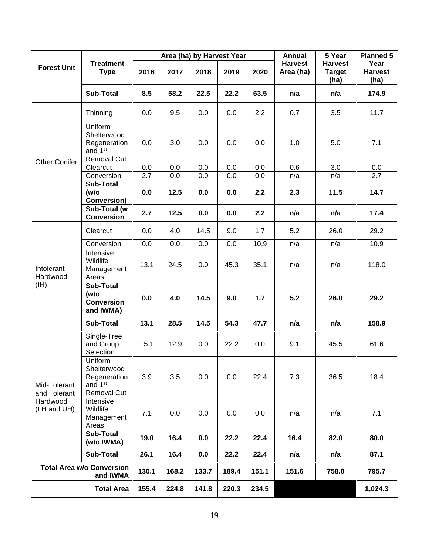|                                                |                                                                              |                  |       | Area (ha) by Harvest Year |       |       | <b>Annual</b>               | 5 Year                                  | <b>Planned 5</b>               |
|------------------------------------------------|------------------------------------------------------------------------------|------------------|-------|---------------------------|-------|-------|-----------------------------|-----------------------------------------|--------------------------------|
| <b>Forest Unit</b>                             | <b>Treatment</b><br><b>Type</b>                                              | 2016             | 2017  | 2018                      | 2019  | 2020  | <b>Harvest</b><br>Area (ha) | <b>Harvest</b><br><b>Target</b><br>(ha) | Year<br><b>Harvest</b><br>(ha) |
|                                                | <b>Sub-Total</b>                                                             | 8.5              | 58.2  | 22.5                      | 22.2  | 63.5  | n/a                         | n/a                                     | 174.9                          |
|                                                | Thinning                                                                     | 0.0              | 9.5   | 0.0                       | 0.0   | 2.2   | 0.7                         | 3.5                                     | 11.7                           |
| <b>Other Conifer</b>                           | Uniform<br>Shelterwood<br>Regeneration<br>and 1 <sup>st</sup><br>Removal Cut | 0.0              | 3.0   | 0.0                       | 0.0   | 0.0   | 1.0                         | 5.0                                     | 7.1                            |
|                                                | Clearcut                                                                     | 0.0              | 0.0   | 0.0                       | 0.0   | 0.0   | 0.6                         | $\overline{3.0}$                        | 0.0                            |
| Conversion                                     |                                                                              | $\overline{2.7}$ | 0.0   | 0.0                       | 0.0   | 0.0   | n/a                         | n/a                                     | $\overline{2.7}$               |
| <b>Sub-Total</b><br>(w/o<br><b>Conversion)</b> |                                                                              | 0.0              | 12.5  | 0.0                       | 0.0   | 2.2   | 2.3                         | 11.5                                    | 14.7                           |
|                                                | Sub-Total (w<br><b>Conversion</b>                                            | 2.7              | 12.5  | 0.0                       | 0.0   | 2.2   | n/a                         | n/a                                     | 17.4                           |
|                                                | Clearcut                                                                     | 0.0              | 4.0   | 14.5                      | 9.0   | 1.7   | 5.2                         | 26.0                                    | 29.2                           |
|                                                | Conversion                                                                   | 0.0              | 0.0   | 0.0                       | 0.0   | 10.9  | n/a                         | n/a                                     | 10.9                           |
| Intolerant<br>Hardwood                         | Intensive<br>Wildlife<br>Management<br>Areas                                 | 13.1             | 24.5  | 0.0                       | 45.3  | 35.1  | n/a                         | n/a                                     | 118.0                          |
| (HH)                                           | <b>Sub-Total</b><br>(w/o)<br><b>Conversion</b><br>and IWMA)                  | 0.0              | 4.0   | 14.5                      | 9.0   | 1.7   | 5.2                         | 26.0                                    | 29.2                           |
|                                                | <b>Sub-Total</b>                                                             | 13.1             | 28.5  | 14.5                      | 54.3  | 47.7  | n/a                         | n/a                                     | 158.9                          |
|                                                | Single-Tree<br>and Group<br>Selection                                        | 15.1             | 12.9  | 0.0                       | 22.2  | 0.0   | 9.1                         | 45.5                                    | 61.6                           |
| Mid-Tolerant<br>and Tolerant                   | Uniform<br>Shelterwood<br>Regeneration<br>and 1 <sup>st</sup><br>Removal Cut | 3.9              | 3.5   | 0.0                       | 0.0   | 22.4  | 7.3                         | 36.5                                    | 18.4                           |
| Hardwood<br>(LH and UH)                        | Intensive<br>Wildlife<br>Management<br>Areas                                 | 7.1              | 0.0   | 0.0                       | 0.0   | 0.0   | n/a                         | n/a                                     | 7.1                            |
|                                                | <b>Sub-Total</b><br>(w/o IWMA)                                               | 19.0             | 16.4  | 0.0                       | 22.2  | 22.4  | 16.4                        | 82.0                                    | 80.0                           |
|                                                | <b>Sub-Total</b>                                                             | 26.1             | 16.4  | 0.0                       | 22.2  | 22.4  | n/a                         | n/a                                     | 87.1                           |
|                                                | <b>Total Area w/o Conversion</b><br>and IWMA                                 |                  | 168.2 | 133.7                     | 189.4 | 151.1 | 151.6                       | 758.0                                   | 795.7                          |
|                                                | <b>Total Area</b>                                                            |                  | 224.8 | 141.8                     | 220.3 | 234.5 |                             |                                         | 1,024.3                        |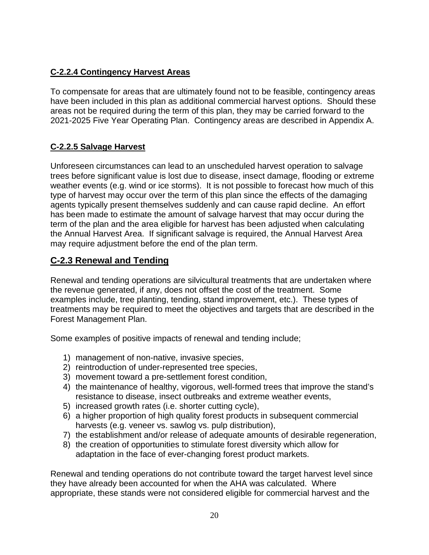## <span id="page-19-0"></span>**C-2.2.4 Contingency Harvest Areas**

To compensate for areas that are ultimately found not to be feasible, contingency areas have been included in this plan as additional commercial harvest options. Should these areas not be required during the term of this plan, they may be carried forward to the 2021-2025 Five Year Operating Plan. Contingency areas are described in Appendix A.

### <span id="page-19-1"></span>**C-2.2.5 Salvage Harvest**

Unforeseen circumstances can lead to an unscheduled harvest operation to salvage trees before significant value is lost due to disease, insect damage, flooding or extreme weather events (e.g. wind or ice storms). It is not possible to forecast how much of this type of harvest may occur over the term of this plan since the effects of the damaging agents typically present themselves suddenly and can cause rapid decline. An effort has been made to estimate the amount of salvage harvest that may occur during the term of the plan and the area eligible for harvest has been adjusted when calculating the Annual Harvest Area. If significant salvage is required, the Annual Harvest Area may require adjustment before the end of the plan term.

## <span id="page-19-2"></span>**C-2.3 Renewal and Tending**

Renewal and tending operations are silvicultural treatments that are undertaken where the revenue generated, if any, does not offset the cost of the treatment. Some examples include, tree planting, tending, stand improvement, etc.). These types of treatments may be required to meet the objectives and targets that are described in the Forest Management Plan.

Some examples of positive impacts of renewal and tending include;

- 1) management of non-native, invasive species,
- 2) reintroduction of under-represented tree species,
- 3) movement toward a pre-settlement forest condition,
- 4) the maintenance of healthy, vigorous, well-formed trees that improve the stand's resistance to disease, insect outbreaks and extreme weather events,
- 5) increased growth rates (i.e. shorter cutting cycle),
- 6) a higher proportion of high quality forest products in subsequent commercial harvests (e.g. veneer vs. sawlog vs. pulp distribution),
- 7) the establishment and/or release of adequate amounts of desirable regeneration,
- 8) the creation of opportunities to stimulate forest diversity which allow for adaptation in the face of ever-changing forest product markets.

Renewal and tending operations do not contribute toward the target harvest level since they have already been accounted for when the AHA was calculated. Where appropriate, these stands were not considered eligible for commercial harvest and the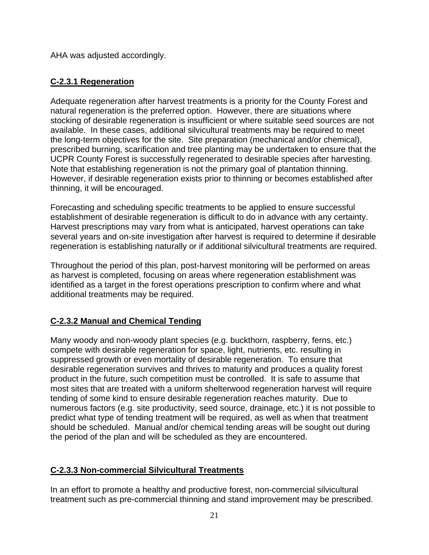AHA was adjusted accordingly.

### <span id="page-20-0"></span>**C-2.3.1 Regeneration**

Adequate regeneration after harvest treatments is a priority for the County Forest and natural regeneration is the preferred option. However, there are situations where stocking of desirable regeneration is insufficient or where suitable seed sources are not available. In these cases, additional silvicultural treatments may be required to meet the long-term objectives for the site. Site preparation (mechanical and/or chemical), prescribed burning, scarification and tree planting may be undertaken to ensure that the UCPR County Forest is successfully regenerated to desirable species after harvesting. Note that establishing regeneration is not the primary goal of plantation thinning. However, if desirable regeneration exists prior to thinning or becomes established after thinning, it will be encouraged.

Forecasting and scheduling specific treatments to be applied to ensure successful establishment of desirable regeneration is difficult to do in advance with any certainty. Harvest prescriptions may vary from what is anticipated, harvest operations can take several years and on-site investigation after harvest is required to determine if desirable regeneration is establishing naturally or if additional silvicultural treatments are required.

Throughout the period of this plan, post-harvest monitoring will be performed on areas as harvest is completed, focusing on areas where regeneration establishment was identified as a target in the forest operations prescription to confirm where and what additional treatments may be required.

### <span id="page-20-1"></span>**C-2.3.2 Manual and Chemical Tending**

Many woody and non-woody plant species (e.g. buckthorn, raspberry, ferns, etc.) compete with desirable regeneration for space, light, nutrients, etc. resulting in suppressed growth or even mortality of desirable regeneration. To ensure that desirable regeneration survives and thrives to maturity and produces a quality forest product in the future, such competition must be controlled. It is safe to assume that most sites that are treated with a uniform shelterwood regeneration harvest will require tending of some kind to ensure desirable regeneration reaches maturity. Due to numerous factors (e.g. site productivity, seed source, drainage, etc.) it is not possible to predict what type of tending treatment will be required, as well as when that treatment should be scheduled. Manual and/or chemical tending areas will be sought out during the period of the plan and will be scheduled as they are encountered.

#### <span id="page-20-2"></span>**C-2.3.3 Non-commercial Silvicultural Treatments**

In an effort to promote a healthy and productive forest, non-commercial silvicultural treatment such as pre-commercial thinning and stand improvement may be prescribed.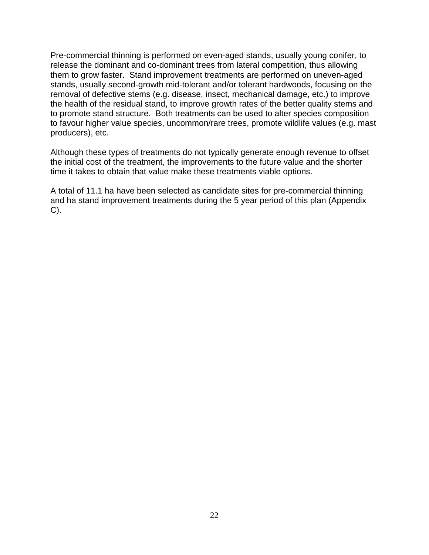Pre-commercial thinning is performed on even-aged stands, usually young conifer, to release the dominant and co-dominant trees from lateral competition, thus allowing them to grow faster. Stand improvement treatments are performed on uneven-aged stands, usually second-growth mid-tolerant and/or tolerant hardwoods, focusing on the removal of defective stems (e.g. disease, insect, mechanical damage, etc.) to improve the health of the residual stand, to improve growth rates of the better quality stems and to promote stand structure. Both treatments can be used to alter species composition to favour higher value species, uncommon/rare trees, promote wildlife values (e.g. mast producers), etc.

Although these types of treatments do not typically generate enough revenue to offset the initial cost of the treatment, the improvements to the future value and the shorter time it takes to obtain that value make these treatments viable options.

A total of 11.1 ha have been selected as candidate sites for pre-commercial thinning and ha stand improvement treatments during the 5 year period of this plan (Appendix C).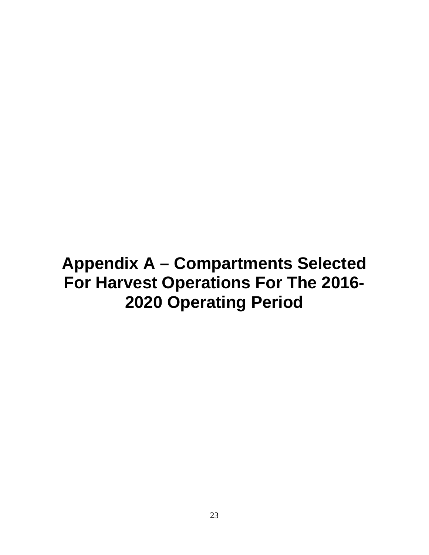# <span id="page-22-0"></span>**Appendix A – Compartments Selected For Harvest Operations For The 2016- 2020 Operating Period**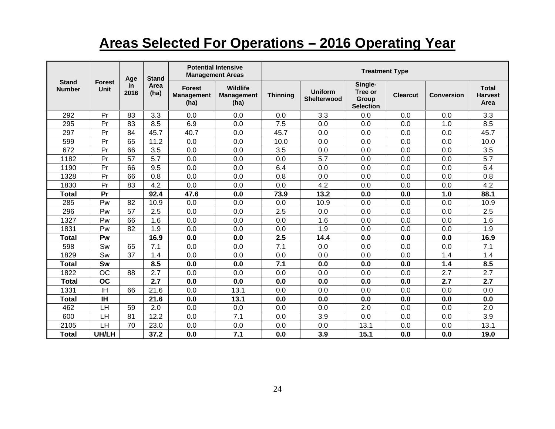# **Areas Selected For Operations – 2016 Operating Year**

|                               |                       | Age               | <b>Stand</b> |                                            | <b>Potential Intensive</b><br><b>Management Areas</b> | <b>Treatment Type</b> |                                      |                                                 |                 |                   |                                        |
|-------------------------------|-----------------------|-------------------|--------------|--------------------------------------------|-------------------------------------------------------|-----------------------|--------------------------------------|-------------------------------------------------|-----------------|-------------------|----------------------------------------|
| <b>Stand</b><br><b>Number</b> | <b>Forest</b><br>Unit | <b>in</b><br>2016 | Area<br>(ha) | <b>Forest</b><br><b>Management</b><br>(ha) | Wildlife<br><b>Management</b><br>(ha)                 | <b>Thinning</b>       | <b>Uniform</b><br><b>Shelterwood</b> | Single-<br>Tree or<br>Group<br><b>Selection</b> | <b>Clearcut</b> | <b>Conversion</b> | <b>Total</b><br><b>Harvest</b><br>Area |
| 292                           | Pr                    | 83                | 3.3          | 0.0                                        | 0.0                                                   | 0.0                   | 3.3                                  | 0.0                                             | 0.0             | 0.0               | 3.3                                    |
| 295                           | Pr                    | 83                | 8.5          | 6.9                                        | 0.0                                                   | 7.5                   | 0.0                                  | 0.0                                             | 0.0             | 1.0               | 8.5                                    |
| 297                           | Pr                    | 84                | 45.7         | 40.7                                       | 0.0                                                   | 45.7                  | 0.0                                  | 0.0                                             | 0.0             | 0.0               | 45.7                                   |
| 599                           | Pr                    | 65                | 11.2         | 0.0                                        | 0.0                                                   | 10.0                  | 0.0                                  | 0.0                                             | 0.0             | 0.0               | 10.0                                   |
| 672                           | Pr                    | 66                | 3.5          | 0.0                                        | 0.0                                                   | 3.5                   | 0.0                                  | 0.0                                             | 0.0             | 0.0               | 3.5                                    |
| 1182                          | Pr                    | 57                | 5.7          | 0.0                                        | 0.0                                                   | 0.0                   | 5.7                                  | 0.0                                             | 0.0             | 0.0               | 5.7                                    |
| 1190                          | Pr                    | 66                | 9.5          | 0.0                                        | 0.0                                                   | 6.4                   | 0.0                                  | 0.0                                             | 0.0             | 0.0               | 6.4                                    |
| 1328                          | Pr                    | 66                | 0.8          | 0.0                                        | 0.0                                                   | 0.8                   | 0.0                                  | 0.0                                             | 0.0             | 0.0               | 0.8                                    |
| 1830                          | Pr                    | 83                | 4.2          | 0.0                                        | 0.0                                                   | 0.0                   | 4.2                                  | 0.0                                             | 0.0             | 0.0               | 4.2                                    |
| <b>Total</b>                  | Pr                    |                   | 92.4         | 47.6                                       | 0.0                                                   | 73.9                  | 13.2                                 | 0.0                                             | 0.0             | 1.0               | 88.1                                   |
| 285                           | Pw                    | 82                | 10.9         | 0.0                                        | 0.0                                                   | 0.0                   | 10.9                                 | 0.0                                             | 0.0             | 0.0               | 10.9                                   |
| 296                           | Pw                    | 57                | 2.5          | 0.0                                        | 0.0                                                   | 2.5                   | 0.0                                  | 0.0                                             | 0.0             | 0.0               | 2.5                                    |
| 1327                          | Pw                    | 66                | 1.6          | 0.0                                        | 0.0                                                   | 0.0                   | 1.6                                  | 0.0                                             | 0.0             | 0.0               | 1.6                                    |
| 1831                          | Pw                    | 82                | 1.9          | 0.0                                        | 0.0                                                   | 0.0                   | 1.9                                  | 0.0                                             | 0.0             | 0.0               | 1.9                                    |
| <b>Total</b>                  | Pw                    |                   | 16.9         | 0.0                                        | 0.0                                                   | 2.5                   | 14.4                                 | 0.0                                             | 0.0             | 0.0               | 16.9                                   |
| 598                           | Sw                    | 65                | 7.1          | 0.0                                        | 0.0                                                   | 7.1                   | 0.0                                  | 0.0                                             | 0.0             | 0.0               | 7.1                                    |
| 1829                          | Sw                    | 37                | 1.4          | 0.0                                        | 0.0                                                   | 0.0                   | 0.0                                  | 0.0                                             | 0.0             | 1.4               | 1.4                                    |
| <b>Total</b>                  | Sw                    |                   | 8.5          | 0.0                                        | 0.0                                                   | 7.1                   | 0.0                                  | 0.0                                             | 0.0             | 1.4               | 8.5                                    |
| 1822                          | <b>OC</b>             | 88                | 2.7          | 0.0                                        | 0.0                                                   | 0.0                   | 0.0                                  | 0.0                                             | 0.0             | 2.7               | 2.7                                    |
| <b>Total</b>                  | <b>OC</b>             |                   | 2.7          | 0.0                                        | 0.0                                                   | 0.0                   | 0.0                                  | 0.0                                             | 0.0             | 2.7               | 2.7                                    |
| 1331                          | ΙH                    | 66                | 21.6         | 0.0                                        | 13.1                                                  | 0.0                   | 0.0                                  | 0.0                                             | 0.0             | 0.0               | 0.0                                    |
| <b>Total</b>                  | <b>IH</b>             |                   | 21.6         | 0.0                                        | 13.1                                                  | 0.0                   | 0.0                                  | 0.0                                             | 0.0             | 0.0               | 0.0                                    |
| 462                           | LH                    | 59                | 2.0          | 0.0                                        | 0.0                                                   | 0.0                   | 0.0                                  | 2.0                                             | 0.0             | 0.0               | 2.0                                    |
| 600                           | LH                    | 81                | 12.2         | 0.0                                        | 7.1                                                   | 0.0                   | 3.9                                  | 0.0                                             | 0.0             | 0.0               | 3.9                                    |
| 2105                          | LH                    | 70                | 23.0         | 0.0                                        | 0.0                                                   | 0.0                   | 0.0                                  | 13.1                                            | 0.0             | 0.0               | 13.1                                   |
| Total                         | UH/LH                 |                   | 37.2         | 0.0                                        | 7.1                                                   | 0.0                   | 3.9                                  | 15.1                                            | 0.0             | 0.0               | 19.0                                   |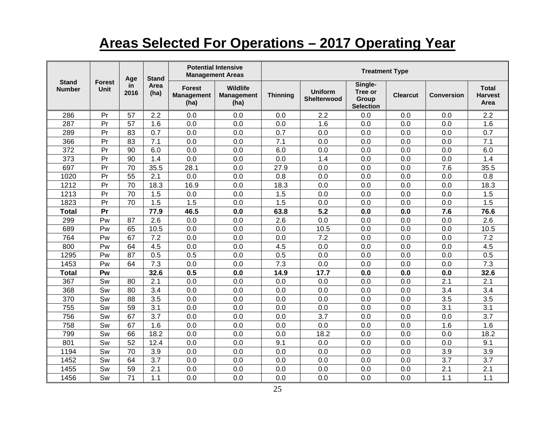# **Areas Selected For Operations – 2017 Operating Year**

|                               |                       | Age         | <b>Stand</b>     |                                            | <b>Potential Intensive</b><br><b>Management Areas</b> | <b>Treatment Type</b> |                               |                                                 |                 |            |                                        |
|-------------------------------|-----------------------|-------------|------------------|--------------------------------------------|-------------------------------------------------------|-----------------------|-------------------------------|-------------------------------------------------|-----------------|------------|----------------------------------------|
| <b>Stand</b><br><b>Number</b> | <b>Forest</b><br>Unit | in.<br>2016 | Area<br>(ha)     | <b>Forest</b><br><b>Management</b><br>(ha) | <b>Wildlife</b><br><b>Management</b><br>(ha)          | <b>Thinning</b>       | <b>Uniform</b><br>Shelterwood | Single-<br>Tree or<br>Group<br><b>Selection</b> | <b>Clearcut</b> | Conversion | <b>Total</b><br><b>Harvest</b><br>Area |
| 286                           | Pr                    | 57          | 2.2              | 0.0                                        | 0.0                                                   | 0.0                   | 2.2                           | 0.0                                             | 0.0             | 0.0        | 2.2                                    |
| 287                           | Pr                    | 57          | 1.6              | 0.0                                        | 0.0                                                   | 0.0                   | 1.6                           | 0.0                                             | 0.0             | 0.0        | 1.6                                    |
| 289                           | Pr                    | 83          | 0.7              | 0.0                                        | 0.0                                                   | 0.7                   | 0.0                           | 0.0                                             | 0.0             | 0.0        | 0.7                                    |
| 366                           | Pr                    | 83          | 7.1              | 0.0                                        | 0.0                                                   | 7.1                   | 0.0                           | 0.0                                             | 0.0             | 0.0        | $\overline{7.1}$                       |
| 372                           | Pr                    | 90          | 6.0              | 0.0                                        | 0.0                                                   | 6.0                   | 0.0                           | 0.0                                             | 0.0             | 0.0        | 6.0                                    |
| 373                           | Pr                    | 90          | 1.4              | 0.0                                        | 0.0                                                   | 0.0                   | 1.4                           | 0.0                                             | 0.0             | 0.0        | 1.4                                    |
| 697                           | Pr                    | 70          | 35.5             | 28.1                                       | 0.0                                                   | 27.9                  | 0.0                           | 0.0                                             | 0.0             | 7.6        | 35.5                                   |
| 1020                          | Pr                    | 55          | 2.1              | 0.0                                        | 0.0                                                   | 0.8                   | 0.0                           | 0.0                                             | 0.0             | 0.0        | 0.8                                    |
| 1212                          | Pr                    | 70          | 18.3             | 16.9                                       | 0.0                                                   | 18.3                  | 0.0                           | 0.0                                             | 0.0             | 0.0        | 18.3                                   |
| 1213                          | Pr                    | 70          | 1.5              | 0.0                                        | 0.0                                                   | 1.5                   | 0.0                           | 0.0                                             | 0.0             | 0.0        | 1.5                                    |
| 1823                          | Pr                    | 70          | $\overline{1.5}$ | $\overline{1.5}$                           | 0.0                                                   | $\overline{1.5}$      | 0.0                           | 0.0                                             | 0.0             | 0.0        | 1.5                                    |
| <b>Total</b>                  | Pr                    |             | 77.9             | 46.5                                       | 0.0                                                   | 63.8                  | 5.2                           | 0.0                                             | 0.0             | 7.6        | 76.6                                   |
| 299                           | Pw                    | 87          | 2.6              | 0.0                                        | 0.0                                                   | 2.6                   | 0.0                           | 0.0                                             | 0.0             | 0.0        | 2.6                                    |
| 689                           | Pw                    | 65          | 10.5             | 0.0                                        | 0.0                                                   | 0.0                   | 10.5                          | 0.0                                             | 0.0             | 0.0        | 10.5                                   |
| 764                           | Pw                    | 67          | 7.2              | 0.0                                        | 0.0                                                   | 0.0                   | 7.2                           | 0.0                                             | 0.0             | 0.0        | 7.2                                    |
| 800                           | Pw                    | 64          | 4.5              | 0.0                                        | 0.0                                                   | 4.5                   | 0.0                           | 0.0                                             | 0.0             | 0.0        | 4.5                                    |
| 1295                          | Pw                    | 87          | 0.5              | 0.5                                        | 0.0                                                   | 0.5                   | 0.0                           | 0.0                                             | 0.0             | 0.0        | 0.5                                    |
| 1453                          | Pw                    | 64          | 7.3              | 0.0                                        | 0.0                                                   | 7.3                   | 0.0                           | 0.0                                             | 0.0             | 0.0        | 7.3                                    |
| <b>Total</b>                  | Pw                    |             | 32.6             | 0.5                                        | 0.0                                                   | 14.9                  | 17.7                          | 0.0                                             | 0.0             | 0.0        | 32.6                                   |
| 367                           | Sw                    | 80          | 2.1              | 0.0                                        | 0.0                                                   | 0.0                   | 0.0                           | 0.0                                             | 0.0             | 2.1        | 2.1                                    |
| 368                           | Sw                    | 80          | 3.4              | 0.0                                        | 0.0                                                   | 0.0                   | 0.0                           | 0.0                                             | 0.0             | 3.4        | 3.4                                    |
| 370                           | Sw                    | 88          | 3.5              | 0.0                                        | 0.0                                                   | 0.0                   | 0.0                           | 0.0                                             | 0.0             | 3.5        | 3.5                                    |
| 755                           | Sw                    | 59          | 3.1              | 0.0                                        | 0.0                                                   | 0.0                   | 0.0                           | 0.0                                             | 0.0             | 3.1        | $\overline{3.1}$                       |
| 756                           | Sw                    | 67          | 3.7              | 0.0                                        | 0.0                                                   | 0.0                   | 3.7                           | 0.0                                             | 0.0             | 0.0        | 3.7                                    |
| 758                           | Sw                    | 67          | 1.6              | 0.0                                        | 0.0                                                   | 0.0                   | 0.0                           | 0.0                                             | 0.0             | 1.6        | 1.6                                    |
| 799                           | Sw                    | 66          | 18.2             | 0.0                                        | 0.0                                                   | 0.0                   | 18.2                          | 0.0                                             | 0.0             | 0.0        | 18.2                                   |
| 801                           | Sw                    | 52          | 12.4             | 0.0                                        | 0.0                                                   | 9.1                   | 0.0                           | 0.0                                             | 0.0             | 0.0        | 9.1                                    |
| 1194                          | Sw                    | 70          | 3.9              | 0.0                                        | 0.0                                                   | 0.0                   | 0.0                           | 0.0                                             | 0.0             | 3.9        | 3.9                                    |
| 1452                          | Sw                    | 64          | 3.7              | 0.0                                        | 0.0                                                   | 0.0                   | 0.0                           | 0.0                                             | 0.0             | 3.7        | 3.7                                    |
| 1455                          | Sw                    | 59          | 2.1              | 0.0                                        | 0.0                                                   | 0.0                   | 0.0                           | 0.0                                             | 0.0             | 2.1        | 2.1                                    |
| 1456                          | Sw                    | 71          | 1.1              | 0.0                                        | 0.0                                                   | 0.0                   | 0.0                           | 0.0                                             | 0.0             | 1.1        | 1.1                                    |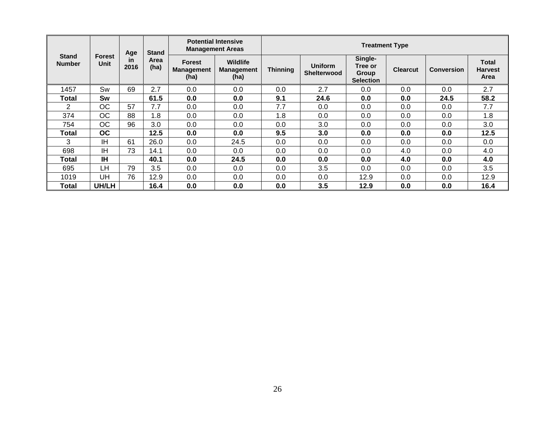|                               |             | Age<br><b>Forest</b><br><u>in</u> | <b>Stand</b> | <b>Potential Intensive</b><br><b>Management Areas</b> |                                              |                 | <b>Treatment Type</b>         |                                                        |                 |                   |                                        |  |  |
|-------------------------------|-------------|-----------------------------------|--------------|-------------------------------------------------------|----------------------------------------------|-----------------|-------------------------------|--------------------------------------------------------|-----------------|-------------------|----------------------------------------|--|--|
| <b>Stand</b><br><b>Number</b> | <b>Unit</b> | 2016                              | Area<br>(ha) | <b>Forest</b><br><b>Management</b><br>(ha)            | <b>Wildlife</b><br><b>Management</b><br>(ha) | <b>Thinning</b> | <b>Uniform</b><br>Shelterwood | Single-<br>Tree or<br><b>Group</b><br><b>Selection</b> | <b>Clearcut</b> | <b>Conversion</b> | <b>Total</b><br><b>Harvest</b><br>Area |  |  |
| 1457                          | Sw          | 69                                | 2.7          | 0.0                                                   | 0.0                                          | 0.0             | 2.7                           | 0.0                                                    | 0.0             | 0.0               | 2.7                                    |  |  |
| Total                         | Sw          |                                   | 61.5         | 0.0                                                   | 0.0                                          | 9.1             | 24.6                          | 0.0                                                    | 0.0             | 24.5              | 58.2                                   |  |  |
| 2                             | ОC          | 57                                | 7.7          | 0.0                                                   | 0.0                                          | 7.7             | 0.0                           | 0.0                                                    | 0.0             | 0.0               | 7.7                                    |  |  |
| 374                           | <b>OC</b>   | 88                                | 1.8          | 0.0                                                   | 0.0                                          | 1.8             | 0.0                           | 0.0                                                    | 0.0             | 0.0               | 1.8                                    |  |  |
| 754                           | <b>OC</b>   | 96                                | 3.0          | 0.0                                                   | 0.0                                          | 0.0             | 3.0                           | 0.0                                                    | 0.0             | 0.0               | 3.0                                    |  |  |
| Total                         | <b>OC</b>   |                                   | 12.5         | 0.0                                                   | 0.0                                          | 9.5             | 3.0                           | 0.0                                                    | 0.0             | 0.0               | 12.5                                   |  |  |
| 3                             | IH          | 61                                | 26.0         | 0.0                                                   | 24.5                                         | 0.0             | 0.0                           | 0.0                                                    | 0.0             | 0.0               | 0.0                                    |  |  |
| 698                           | <b>IH</b>   | 73                                | 14.1         | 0.0                                                   | 0.0                                          | 0.0             | 0.0                           | 0.0                                                    | 4.0             | 0.0               | 4.0                                    |  |  |
| Total                         | IΗ          |                                   | 40.1         | 0.0                                                   | 24.5                                         | 0.0             | 0.0                           | 0.0                                                    | 4.0             | 0.0               | 4.0                                    |  |  |
| 695                           | LH          | 79                                | 3.5          | 0.0                                                   | 0.0                                          | 0.0             | 3.5                           | 0.0                                                    | 0.0             | 0.0               | 3.5                                    |  |  |
| 1019                          | UH          | 76                                | 12.9         | 0.0                                                   | 0.0                                          | 0.0             | 0.0                           | 12.9                                                   | 0.0             | 0.0               | 12.9                                   |  |  |
| Total                         | UH/LH       |                                   | 16.4         | 0.0                                                   | 0.0                                          | 0.0             | 3.5                           | 12.9                                                   | 0.0             | 0.0               | 16.4                                   |  |  |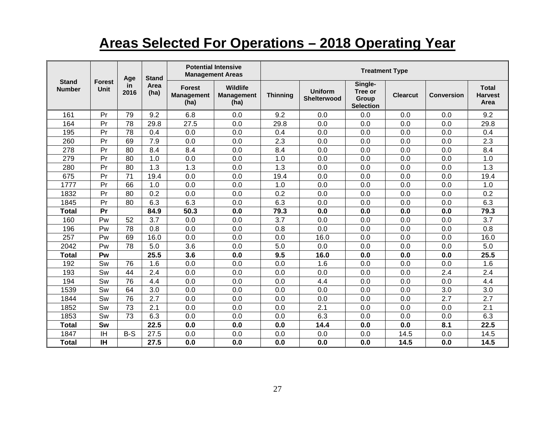# **Areas Selected For Operations – 2018 Operating Year**

|                               |                       | Age        | <b>Stand</b> | <b>Potential Intensive</b><br><b>Management Areas</b> |                                              | <b>Treatment Type</b> |                                      |                                                 |                 |                   |                                        |
|-------------------------------|-----------------------|------------|--------------|-------------------------------------------------------|----------------------------------------------|-----------------------|--------------------------------------|-------------------------------------------------|-----------------|-------------------|----------------------------------------|
| <b>Stand</b><br><b>Number</b> | <b>Forest</b><br>Unit | in<br>2016 | Area<br>(ha) | <b>Forest</b><br><b>Management</b><br>(ha)            | <b>Wildlife</b><br><b>Management</b><br>(ha) | <b>Thinning</b>       | <b>Uniform</b><br><b>Shelterwood</b> | Single-<br>Tree or<br>Group<br><b>Selection</b> | <b>Clearcut</b> | <b>Conversion</b> | <b>Total</b><br><b>Harvest</b><br>Area |
| 161                           | Pr                    | 79         | 9.2          | 6.8                                                   | 0.0                                          | 9.2                   | 0.0                                  | 0.0                                             | 0.0             | 0.0               | 9.2                                    |
| 164                           | Pr                    | 78         | 29.8         | 27.5                                                  | 0.0                                          | 29.8                  | 0.0                                  | 0.0                                             | 0.0             | 0.0               | 29.8                                   |
| 195                           | Pr                    | 78         | 0.4          | 0.0                                                   | 0.0                                          | 0.4                   | 0.0                                  | 0.0                                             | 0.0             | 0.0               | 0.4                                    |
| 260                           | Pr                    | 69         | 7.9          | 0.0                                                   | 0.0                                          | 2.3                   | 0.0                                  | 0.0                                             | 0.0             | 0.0               | 2.3                                    |
| 278                           | Pr                    | 80         | 8.4          | 8.4                                                   | 0.0                                          | 8.4                   | 0.0                                  | 0.0                                             | 0.0             | 0.0               | 8.4                                    |
| 279                           | Pr                    | 80         | 1.0          | 0.0                                                   | 0.0                                          | 1.0                   | 0.0                                  | 0.0                                             | 0.0             | 0.0               | 1.0                                    |
| 280                           | Pr                    | 80         | 1.3          | 1.3                                                   | 0.0                                          | 1.3                   | 0.0                                  | 0.0                                             | 0.0             | 0.0               | 1.3                                    |
| 675                           | Pr                    | 71         | 19.4         | 0.0                                                   | 0.0                                          | 19.4                  | 0.0                                  | 0.0                                             | 0.0             | 0.0               | 19.4                                   |
| 1777                          | Pr                    | 66         | 1.0          | 0.0                                                   | 0.0                                          | 1.0                   | 0.0                                  | 0.0                                             | 0.0             | 0.0               | 1.0                                    |
| 1832                          | Pr                    | 80         | 0.2          | 0.0                                                   | 0.0                                          | 0.2                   | 0.0                                  | 0.0                                             | 0.0             | 0.0               | 0.2                                    |
| 1845                          | Pr                    | 80         | 6.3          | 6.3                                                   | 0.0                                          | 6.3                   | 0.0                                  | 0.0                                             | 0.0             | 0.0               | 6.3                                    |
| Total                         | Pr                    |            | 84.9         | 50.3                                                  | 0.0                                          | 79.3                  | 0.0                                  | 0.0                                             | 0.0             | 0.0               | 79.3                                   |
| 160                           | Pw                    | 52         | 3.7          | 0.0                                                   | 0.0                                          | 3.7                   | 0.0                                  | 0.0                                             | 0.0             | 0.0               | 3.7                                    |
| 196                           | Pw                    | 78         | 0.8          | 0.0                                                   | 0.0                                          | 0.8                   | 0.0                                  | 0.0                                             | 0.0             | 0.0               | 0.8                                    |
| 257                           | Pw                    | 69         | 16.0         | 0.0                                                   | 0.0                                          | 0.0                   | 16.0                                 | 0.0                                             | 0.0             | 0.0               | 16.0                                   |
| 2042                          | Pw                    | 78         | 5.0          | 3.6                                                   | 0.0                                          | 5.0                   | 0.0                                  | 0.0                                             | 0.0             | 0.0               | 5.0                                    |
| <b>Total</b>                  | Pw                    |            | 25.5         | 3.6                                                   | 0.0                                          | 9.5                   | 16.0                                 | 0.0                                             | 0.0             | 0.0               | 25.5                                   |
| 192                           | Sw                    | 76         | 1.6          | 0.0                                                   | 0.0                                          | 0.0                   | 1.6                                  | 0.0                                             | 0.0             | 0.0               | 1.6                                    |
| 193                           | Sw                    | 44         | 2.4          | 0.0                                                   | 0.0                                          | 0.0                   | 0.0                                  | 0.0                                             | 0.0             | 2.4               | 2.4                                    |
| 194                           | Sw                    | 76         | 4.4          | 0.0                                                   | 0.0                                          | 0.0                   | 4.4                                  | 0.0                                             | 0.0             | 0.0               | 4.4                                    |
| 1539                          | Sw                    | 64         | 3.0          | 0.0                                                   | 0.0                                          | 0.0                   | 0.0                                  | 0.0                                             | 0.0             | 3.0               | 3.0                                    |
| 1844                          | Sw                    | 76         | 2.7          | 0.0                                                   | 0.0                                          | 0.0                   | 0.0                                  | 0.0                                             | 0.0             | 2.7               | 2.7                                    |
| 1852                          | Sw                    | 73         | 2.1          | 0.0                                                   | 0.0                                          | 0.0                   | 2.1                                  | 0.0                                             | 0.0             | 0.0               | 2.1                                    |
| 1853                          | Sw                    | 73         | 6.3          | 0.0                                                   | 0.0                                          | 0.0                   | 6.3                                  | 0.0                                             | 0.0             | 0.0               | 6.3                                    |
| <b>Total</b>                  | Sw                    |            | 22.5         | 0.0                                                   | 0.0                                          | 0.0                   | 14.4                                 | 0.0                                             | 0.0             | 8.1               | 22.5                                   |
| 1847                          | ΙH                    | $B-S$      | 27.5         | 0.0                                                   | 0.0                                          | 0.0                   | 0.0                                  | 0.0                                             | 14.5            | 0.0               | 14.5                                   |
| <b>Total</b>                  | <b>IH</b>             |            | 27.5         | 0.0                                                   | 0.0                                          | 0.0                   | 0.0                                  | 0.0                                             | 14.5            | 0.0               | 14.5                                   |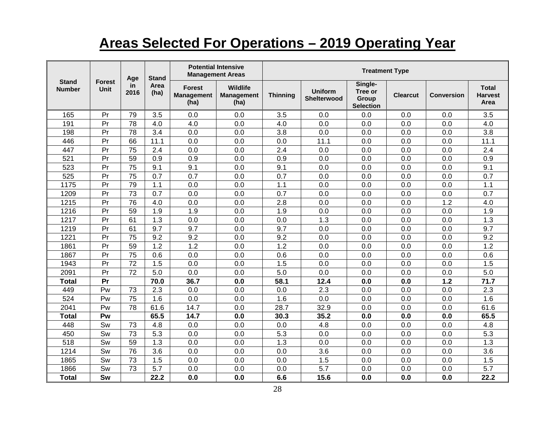# **Areas Selected For Operations – 2019 Operating Year**

| <b>Stand</b><br>Age<br><b>Stand</b><br><b>Forest</b> |             |                 |              |                                            | <b>Potential Intensive</b><br><b>Management Areas</b> | <b>Treatment Type</b> |                               |                                                 |                 |                   |                                        |
|------------------------------------------------------|-------------|-----------------|--------------|--------------------------------------------|-------------------------------------------------------|-----------------------|-------------------------------|-------------------------------------------------|-----------------|-------------------|----------------------------------------|
| <b>Number</b>                                        | <b>Unit</b> | in<br>2016      | Area<br>(ha) | <b>Forest</b><br><b>Management</b><br>(ha) | Wildlife<br><b>Management</b><br>(ha)                 | <b>Thinning</b>       | <b>Uniform</b><br>Shelterwood | Single-<br>Tree or<br>Group<br><b>Selection</b> | <b>Clearcut</b> | <b>Conversion</b> | <b>Total</b><br><b>Harvest</b><br>Area |
| 165                                                  | Pr          | 79              | 3.5          | 0.0                                        | 0.0                                                   | 3.5                   | 0.0                           | 0.0                                             | 0.0             | 0.0               | 3.5                                    |
| 191                                                  | Pr          | 78              | 4.0          | 4.0                                        | 0.0                                                   | 4.0                   | 0.0                           | 0.0                                             | 0.0             | 0.0               | 4.0                                    |
| 198                                                  | Pr          | 78              | 3.4          | 0.0                                        | 0.0                                                   | 3.8                   | 0.0                           | 0.0                                             | 0.0             | 0.0               | 3.8                                    |
| 446                                                  | Pr          | 66              | 11.1         | 0.0                                        | 0.0                                                   | 0.0                   | 11.1                          | 0.0                                             | 0.0             | 0.0               | 11.1                                   |
| 447                                                  | Pr          | 75              | 2.4          | 0.0                                        | 0.0                                                   | 2.4                   | 0.0                           | 0.0                                             | 0.0             | 0.0               | 2.4                                    |
| 521                                                  | Pr          | 59              | 0.9          | 0.9                                        | 0.0                                                   | 0.9                   | 0.0                           | 0.0                                             | 0.0             | 0.0               | 0.9                                    |
| 523                                                  | Pr          | $\overline{75}$ | 9.1          | 9.1                                        | 0.0                                                   | 9.1                   | 0.0                           | 0.0                                             | 0.0             | 0.0               | 9.1                                    |
| 525                                                  | Pr          | 75              | 0.7          | $\overline{0.7}$                           | 0.0                                                   | 0.7                   | 0.0                           | 0.0                                             | 0.0             | 0.0               | 0.7                                    |
| 1175                                                 | Pr          | 79              | 1.1          | 0.0                                        | 0.0                                                   | 1.1                   | 0.0                           | 0.0                                             | 0.0             | 0.0               | 1.1                                    |
| 1209                                                 | Pr          | 73              | 0.7          | 0.0                                        | 0.0                                                   | 0.7                   | 0.0                           | 0.0                                             | 0.0             | 0.0               | 0.7                                    |
| 1215                                                 | Pr          | $\overline{76}$ | 4.0          | 0.0                                        | 0.0                                                   | 2.8                   | 0.0                           | 0.0                                             | 0.0             | 1.2               | 4.0                                    |
| 1216                                                 | Pr          | 59              | 1.9          | 1.9                                        | 0.0                                                   | 1.9                   | 0.0                           | 0.0                                             | 0.0             | 0.0               | 1.9                                    |
| 1217                                                 | Pr          | 61              | 1.3          | 0.0                                        | 0.0                                                   | 0.0                   | 1.3                           | 0.0                                             | 0.0             | 0.0               | 1.3                                    |
| 1219                                                 | Pr          | 61              | 9.7          | 9.7                                        | 0.0                                                   | 9.7                   | 0.0                           | 0.0                                             | 0.0             | 0.0               | 9.7                                    |
| 1221                                                 | Pr          | $\overline{75}$ | 9.2          | 9.2                                        | 0.0                                                   | 9.2                   | 0.0                           | 0.0                                             | 0.0             | 0.0               | 9.2                                    |
| 1861                                                 | Pr          | 59              | 1.2          | 1.2                                        | 0.0                                                   | 1.2                   | 0.0                           | 0.0                                             | 0.0             | 0.0               | 1.2                                    |
| 1867                                                 | Pr          | $\overline{75}$ | 0.6          | 0.0                                        | 0.0                                                   | 0.6                   | 0.0                           | 0.0                                             | 0.0             | 0.0               | 0.6                                    |
| 1943                                                 | Pr          | 72              | 1.5          | 0.0                                        | 0.0                                                   | 1.5                   | 0.0                           | 0.0                                             | 0.0             | 0.0               | 1.5                                    |
| 2091                                                 | Pr          | 72              | 5.0          | 0.0                                        | 0.0                                                   | 5.0                   | 0.0                           | 0.0                                             | 0.0             | 0.0               | 5.0                                    |
| <b>Total</b>                                         | Pr          |                 | 70.0         | 36.7                                       | 0.0                                                   | 58.1                  | 12.4                          | 0.0                                             | 0.0             | $1.2$             | 71.7                                   |
| 449                                                  | Pw          | 73              | 2.3          | 0.0                                        | 0.0                                                   | 0.0                   | 2.3                           | 0.0                                             | 0.0             | 0.0               | 2.3                                    |
| 524                                                  | Pw          | 75              | 1.6          | 0.0                                        | 0.0                                                   | 1.6                   | 0.0                           | 0.0                                             | 0.0             | 0.0               | 1.6                                    |
| 2041                                                 | Pw          | $\overline{78}$ | 61.6         | 14.7                                       | 0.0                                                   | 28.7                  | 32.9                          | 0.0                                             | 0.0             | 0.0               | 61.6                                   |
| <b>Total</b>                                         | Pw          |                 | 65.5         | 14.7                                       | 0.0                                                   | 30.3                  | 35.2                          | 0.0                                             | 0.0             | 0.0               | 65.5                                   |
| 448                                                  | Sw          | 73              | 4.8          | 0.0                                        | 0.0                                                   | 0.0                   | 4.8                           | 0.0                                             | 0.0             | 0.0               | 4.8                                    |
| 450                                                  | Sw          | 73              | 5.3          | 0.0                                        | 0.0                                                   | 5.3                   | 0.0                           | 0.0                                             | 0.0             | 0.0               | 5.3                                    |
| 518                                                  | Sw          | 59              | 1.3          | 0.0                                        | 0.0                                                   | 1.3                   | 0.0                           | 0.0                                             | 0.0             | 0.0               | 1.3                                    |
| 1214                                                 | Sw          | 76              | 3.6          | 0.0                                        | 0.0                                                   | 0.0                   | 3.6                           | 0.0                                             | 0.0             | 0.0               | 3.6                                    |
| 1865                                                 | Sw          | 73              | 1.5          | 0.0                                        | 0.0                                                   | 0.0                   | 1.5                           | 0.0                                             | 0.0             | 0.0               | 1.5                                    |
| 1866                                                 | Sw          | 73              | 5.7          | 0.0                                        | 0.0                                                   | 0.0                   | 5.7                           | 0.0                                             | 0.0             | 0.0               | 5.7                                    |
| <b>Total</b>                                         | Sw          |                 | 22.2         | 0.0                                        | 0.0                                                   | 6.6                   | 15.6                          | 0.0                                             | 0.0             | 0.0               | 22.2                                   |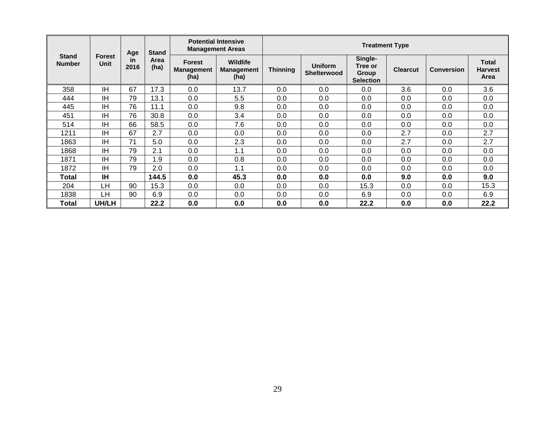|                               |                              | Age  | <b>Stand</b><br>Area<br>in |                                            | <b>Potential Intensive</b><br><b>Management Areas</b> | <b>Treatment Type</b> |                               |                                                        |                 |                   |                                        |
|-------------------------------|------------------------------|------|----------------------------|--------------------------------------------|-------------------------------------------------------|-----------------------|-------------------------------|--------------------------------------------------------|-----------------|-------------------|----------------------------------------|
| <b>Stand</b><br><b>Number</b> | <b>Forest</b><br><b>Unit</b> | 2016 | (ha)                       | <b>Forest</b><br><b>Management</b><br>(ha) | <b>Wildlife</b><br><b>Management</b><br>(ha)          | <b>Thinning</b>       | <b>Uniform</b><br>Shelterwood | Single-<br>Tree or<br><b>Group</b><br><b>Selection</b> | <b>Clearcut</b> | <b>Conversion</b> | <b>Total</b><br><b>Harvest</b><br>Area |
| 358                           | <b>IH</b>                    | 67   | 17.3                       | 0.0                                        | 13.7                                                  | 0.0                   | 0.0                           | 0.0                                                    | 3.6             | 0.0               | 3.6                                    |
| 444                           | <b>IH</b>                    | 79   | 13.1                       | 0.0                                        | 5.5                                                   | 0.0                   | 0.0                           | 0.0                                                    | 0.0             | 0.0               | 0.0                                    |
| 445                           | <b>IH</b>                    | 76   | 11.1                       | 0.0                                        | 9.8                                                   | 0.0                   | 0.0                           | 0.0                                                    | 0.0             | 0.0               | 0.0                                    |
| 451                           | <b>IH</b>                    | 76   | 30.8                       | 0.0                                        | 3.4                                                   | 0.0                   | 0.0                           | 0.0                                                    | 0.0             | 0.0               | 0.0                                    |
| 514                           | ΙH                           | 66   | 58.5                       | 0.0                                        | 7.6                                                   | 0.0                   | 0.0                           | 0.0                                                    | 0.0             | 0.0               | 0.0                                    |
| 1211                          | <b>IH</b>                    | 67   | 2.7                        | 0.0                                        | 0.0                                                   | 0.0                   | 0.0                           | 0.0                                                    | 2.7             | 0.0               | 2.7                                    |
| 1863                          | <b>IH</b>                    | 71   | 5.0                        | 0.0                                        | 2.3                                                   | 0.0                   | 0.0                           | 0.0                                                    | 2.7             | 0.0               | 2.7                                    |
| 1868                          | <b>IH</b>                    | 79   | 2.1                        | 0.0                                        | 1.1                                                   | 0.0                   | 0.0                           | 0.0                                                    | 0.0             | 0.0               | 0.0                                    |
| 1871                          | <b>IH</b>                    | 79   | 1.9                        | 0.0                                        | 0.8                                                   | 0.0                   | 0.0                           | 0.0                                                    | 0.0             | 0.0               | 0.0                                    |
| 1872                          | <b>IH</b>                    | 79   | 2.0                        | 0.0                                        | 1.1                                                   | 0.0                   | 0.0                           | 0.0                                                    | 0.0             | 0.0               | 0.0                                    |
| Total                         | <b>IH</b>                    |      | 144.5                      | 0.0                                        | 45.3                                                  | 0.0                   | 0.0                           | 0.0                                                    | 9.0             | 0.0               | 9.0                                    |
| 204                           | LН                           | 90   | 15.3                       | 0.0                                        | 0.0                                                   | 0.0                   | 0.0                           | 15.3                                                   | 0.0             | 0.0               | 15.3                                   |
| 1838                          | LН                           | 90   | 6.9                        | 0.0                                        | 0.0                                                   | 0.0                   | 0.0                           | 6.9                                                    | 0.0             | 0.0               | 6.9                                    |
| Total                         | UH/LH                        |      | 22.2                       | 0.0                                        | 0.0                                                   | 0.0                   | 0.0                           | 22.2                                                   | 0.0             | 0.0               | 22.2                                   |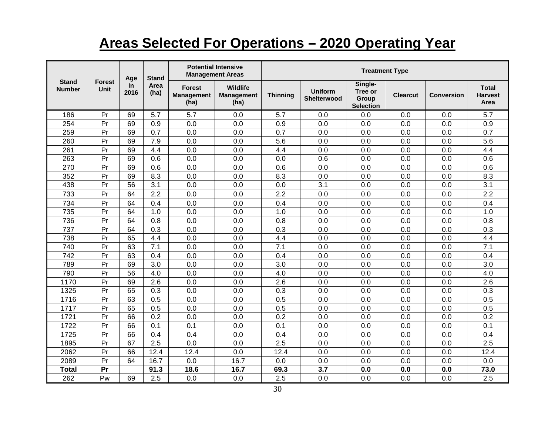# **Areas Selected For Operations – 2020 Operating Year**

|                               |                              | Age         | <b>Stand</b> |                                     | <b>Potential Intensive</b><br><b>Management Areas</b> | <b>Treatment Type</b> |                               |                                                 |                 |                   |                                        |
|-------------------------------|------------------------------|-------------|--------------|-------------------------------------|-------------------------------------------------------|-----------------------|-------------------------------|-------------------------------------------------|-----------------|-------------------|----------------------------------------|
| <b>Stand</b><br><b>Number</b> | <b>Forest</b><br><b>Unit</b> | in.<br>2016 | Area<br>(ha) | Forest<br><b>Management</b><br>(ha) | <b>Wildlife</b><br><b>Management</b><br>(ha)          | <b>Thinning</b>       | <b>Uniform</b><br>Shelterwood | Single-<br>Tree or<br>Group<br><b>Selection</b> | <b>Clearcut</b> | <b>Conversion</b> | <b>Total</b><br><b>Harvest</b><br>Area |
| 186                           | Pr                           | 69          | 5.7          | 5.7                                 | 0.0                                                   | 5.7                   | 0.0                           | 0.0                                             | 0.0             | 0.0               | 5.7                                    |
| 254                           | Pr                           | 69          | 0.9          | 0.0                                 | 0.0                                                   | 0.9                   | 0.0                           | 0.0                                             | 0.0             | 0.0               | 0.9                                    |
| 259                           | Pr                           | 69          | 0.7          | 0.0                                 | 0.0                                                   | 0.7                   | 0.0                           | 0.0                                             | 0.0             | 0.0               | 0.7                                    |
| 260                           | Pr                           | 69          | 7.9          | 0.0                                 | 0.0                                                   | 5.6                   | 0.0                           | 0.0                                             | 0.0             | 0.0               | 5.6                                    |
| 261                           | Pr                           | 69          | 4.4          | 0.0                                 | 0.0                                                   | 4.4                   | 0.0                           | 0.0                                             | 0.0             | 0.0               | 4.4                                    |
| 263                           | Pr                           | 69          | 0.6          | 0.0                                 | 0.0                                                   | 0.0                   | 0.6                           | 0.0                                             | 0.0             | 0.0               | 0.6                                    |
| 270                           | Pr                           | 69          | 0.6          | 0.0                                 | 0.0                                                   | 0.6                   | 0.0                           | 0.0                                             | 0.0             | 0.0               | 0.6                                    |
| 352                           | Pr                           | 69          | 8.3          | 0.0                                 | 0.0                                                   | 8.3                   | 0.0                           | 0.0                                             | 0.0             | 0.0               | 8.3                                    |
| 438                           | Pr                           | 56          | 3.1          | 0.0                                 | 0.0                                                   | 0.0                   | 3.1                           | 0.0                                             | 0.0             | 0.0               | 3.1                                    |
| 733                           | Pr                           | 64          | 2.2          | 0.0                                 | 0.0                                                   | 2.2                   | 0.0                           | 0.0                                             | 0.0             | 0.0               | 2.2                                    |
| 734                           | Pr                           | 64          | 0.4          | 0.0                                 | 0.0                                                   | 0.4                   | 0.0                           | 0.0                                             | 0.0             | 0.0               | 0.4                                    |
| 735                           | Pr                           | 64          | 1.0          | 0.0                                 | 0.0                                                   | 1.0                   | 0.0                           | 0.0                                             | 0.0             | 0.0               | 1.0                                    |
| 736                           | Pr                           | 64          | 0.8          | 0.0                                 | 0.0                                                   | 0.8                   | 0.0                           | 0.0                                             | 0.0             | 0.0               | 0.8                                    |
| 737                           | Pr                           | 64          | 0.3          | 0.0                                 | 0.0                                                   | 0.3                   | 0.0                           | 0.0                                             | 0.0             | 0.0               | 0.3                                    |
| 738                           | Pr                           | 65          | 4.4          | 0.0                                 | 0.0                                                   | 4.4                   | 0.0                           | 0.0                                             | 0.0             | 0.0               | 4.4                                    |
| 740                           | Pr                           | 63          | 7.1          | 0.0                                 | 0.0                                                   | 7.1                   | 0.0                           | 0.0                                             | 0.0             | 0.0               | 7.1                                    |
| 742                           | Pr                           | 63          | 0.4          | 0.0                                 | 0.0                                                   | 0.4                   | 0.0                           | 0.0                                             | 0.0             | 0.0               | 0.4                                    |
| 789                           | Pr                           | 69          | 3.0          | 0.0                                 | 0.0                                                   | 3.0                   | 0.0                           | 0.0                                             | 0.0             | 0.0               | 3.0                                    |
| 790                           | Pr                           | 56          | 4.0          | 0.0                                 | 0.0                                                   | 4.0                   | 0.0                           | 0.0                                             | 0.0             | 0.0               | 4.0                                    |
| 1170                          | Pr                           | 69          | 2.6          | 0.0                                 | 0.0                                                   | 2.6                   | 0.0                           | 0.0                                             | 0.0             | 0.0               | 2.6                                    |
| 1325                          | Pr                           | 65          | 0.3          | 0.0                                 | 0.0                                                   | 0.3                   | 0.0                           | 0.0                                             | 0.0             | 0.0               | 0.3                                    |
| 1716                          | Pr                           | 63          | 0.5          | 0.0                                 | 0.0                                                   | 0.5                   | 0.0                           | 0.0                                             | 0.0             | 0.0               | 0.5                                    |
| 1717                          | Pr                           | 65          | 0.5          | 0.0                                 | 0.0                                                   | 0.5                   | 0.0                           | 0.0                                             | 0.0             | 0.0               | 0.5                                    |
| 1721                          | Pr                           | 66          | 0.2          | 0.0                                 | 0.0                                                   | 0.2                   | 0.0                           | 0.0                                             | 0.0             | 0.0               | 0.2                                    |
| 1722                          | Pr                           | 66          | 0.1          | 0.1                                 | 0.0                                                   | 0.1                   | 0.0                           | 0.0                                             | 0.0             | 0.0               | 0.1                                    |
| 1725                          | Pr                           | 66          | 0.4          | 0.4                                 | 0.0                                                   | 0.4                   | 0.0                           | 0.0                                             | 0.0             | 0.0               | 0.4                                    |
| 1895                          | Pr                           | 67          | 2.5          | 0.0                                 | 0.0                                                   | 2.5                   | 0.0                           | 0.0                                             | 0.0             | 0.0               | 2.5                                    |
| 2062                          | Pr                           | 66          | 12.4         | 12.4                                | 0.0                                                   | 12.4                  | 0.0                           | 0.0                                             | 0.0             | 0.0               | 12.4                                   |
| 2089                          | Pr                           | 64          | 16.7         | 0.0                                 | 16.7                                                  | 0.0                   | 0.0                           | 0.0                                             | 0.0             | 0.0               | 0.0                                    |
| <b>Total</b>                  | Pr                           |             | 91.3         | 18.6                                | 16.7                                                  | 69.3                  | 3.7                           | 0.0                                             | 0.0             | 0.0               | 73.0                                   |
| 262                           | Pw                           | 69          | 2.5          | 0.0                                 | 0.0                                                   | 2.5                   | 0.0                           | 0.0                                             | 0.0             | 0.0               | 2.5                                    |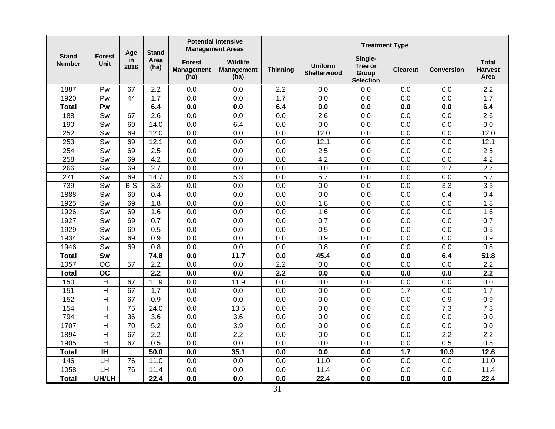|                               |                          | Age        | <b>Stand</b>     |                                            | <b>Potential Intensive</b><br><b>Management Areas</b> | <b>Treatment Type</b> |                               |                                                 |                 |            |                                        |
|-------------------------------|--------------------------|------------|------------------|--------------------------------------------|-------------------------------------------------------|-----------------------|-------------------------------|-------------------------------------------------|-----------------|------------|----------------------------------------|
| <b>Stand</b><br><b>Number</b> | <b>Forest</b><br>Unit    | in<br>2016 | Area<br>(ha)     | <b>Forest</b><br><b>Management</b><br>(ha) | <b>Wildlife</b><br><b>Management</b><br>(ha)          | <b>Thinning</b>       | <b>Uniform</b><br>Shelterwood | Single-<br>Tree or<br>Group<br><b>Selection</b> | <b>Clearcut</b> | Conversion | <b>Total</b><br><b>Harvest</b><br>Area |
| 1887                          | Pw                       | 67         | 2.2              | 0.0                                        | 0.0                                                   | 2.2                   | 0.0                           | 0.0                                             | 0.0             | 0.0        | 2.2                                    |
| 1920                          | Pw                       | 44         | 1.7              | 0.0                                        | 0.0                                                   | $\overline{1.7}$      | 0.0                           | 0.0                                             | 0.0             | 0.0        | 1.7                                    |
| <b>Total</b>                  | Pw                       |            | 6.4              | 0.0                                        | 0.0                                                   | 6.4                   | 0.0                           | 0.0                                             | 0.0             | 0.0        | 6.4                                    |
| 188                           | Sw                       | 67         | 2.6              | 0.0                                        | 0.0                                                   | 0.0                   | 2.6                           | 0.0                                             | 0.0             | 0.0        | 2.6                                    |
| 190                           | Sw                       | 69         | 14.0             | 0.0                                        | 6.4                                                   | 0.0                   | 0.0                           | 0.0                                             | 0.0             | 0.0        | 0.0                                    |
| 252                           | Sw                       | 69         | 12.0             | 0.0                                        | 0.0                                                   | 0.0                   | 12.0                          | 0.0                                             | 0.0             | 0.0        | 12.0                                   |
| 253                           | Sw                       | 69         | 12.1             | 0.0                                        | 0.0                                                   | 0.0                   | 12.1                          | 0.0                                             | 0.0             | 0.0        | 12.1                                   |
| 254                           | $\overline{\mathsf{Sw}}$ | 69         | $\overline{2.5}$ | 0.0                                        | 0.0                                                   | 0.0                   | 2.5                           | 0.0                                             | 0.0             | 0.0        | 2.5                                    |
| 258                           | Sw                       | 69         | 4.2              | 0.0                                        | 0.0                                                   | 0.0                   | $\overline{4.2}$              | 0.0                                             | 0.0             | 0.0        | 4.2                                    |
| 266                           | Sw                       | 69         | 2.7              | 0.0                                        | 0.0                                                   | 0.0                   | 0.0                           | 0.0                                             | 0.0             | 2.7        | 2.7                                    |
| 271                           | Sw                       | 69         | 14.7             | 0.0                                        | 5.3                                                   | 0.0                   | 5.7                           | 0.0                                             | 0.0             | 0.0        | 5.7                                    |
| 739                           | Sw                       | $B-S$      | 3.3              | 0.0                                        | 0.0                                                   | 0.0                   | 0.0                           | 0.0                                             | 0.0             | 3.3        | 3.3                                    |
| 1888                          | Sw                       | 69         | 0.4              | 0.0                                        | 0.0                                                   | 0.0                   | 0.0                           | 0.0                                             | 0.0             | 0.4        | 0.4                                    |
| 1925                          | Sw                       | 69         | 1.8              | 0.0                                        | 0.0                                                   | 0.0                   | 1.8                           | 0.0                                             | 0.0             | 0.0        | 1.8                                    |
| 1926                          | Sw                       | 69         | 1.6              | 0.0                                        | 0.0                                                   | 0.0                   | 1.6                           | 0.0                                             | 0.0             | 0.0        | 1.6                                    |
| 1927                          | Sw                       | 69         | 0.7              | 0.0                                        | 0.0                                                   | 0.0                   | 0.7                           | 0.0                                             | 0.0             | 0.0        | 0.7                                    |
| 1929                          | Sw                       | 69         | 0.5              | 0.0                                        | 0.0                                                   | 0.0                   | 0.5                           | 0.0                                             | 0.0             | 0.0        | 0.5                                    |
| 1934                          | Sw                       | 69         | 0.9              | 0.0                                        | 0.0                                                   | 0.0                   | 0.9                           | 0.0                                             | 0.0             | 0.0        | 0.9                                    |
| 1946                          | Sw                       | 69         | 0.8              | 0.0                                        | 0.0                                                   | 0.0                   | 0.8                           | 0.0                                             | 0.0             | 0.0        | 0.8                                    |
| <b>Total</b>                  | Sw                       |            | 74.8             | 0.0                                        | 11.7                                                  | 0.0                   | 45.4                          | 0.0                                             | 0.0             | 6.4        | 51.8                                   |
| 1057                          | <b>OC</b>                | 57         | 2.2              | 0.0                                        | 0.0                                                   | 2.2                   | 0.0                           | 0.0                                             | 0.0             | 0.0        | 2.2                                    |
| <b>Total</b>                  | <b>OC</b>                |            | 2.2              | 0.0                                        | 0.0                                                   | 2.2                   | 0.0                           | 0.0                                             | 0.0             | 0.0        | 2.2                                    |
| 150                           | $\overline{\mathbb{H}}$  | 67         | 11.9             | 0.0                                        | 11.9                                                  | 0.0                   | 0.0                           | 0.0                                             | 0.0             | 0.0        | 0.0                                    |
| 151                           | <b>IH</b>                | 67         | 1.7              | 0.0                                        | 0.0                                                   | 0.0                   | 0.0                           | 0.0                                             | 1.7             | 0.0        | 1.7                                    |
| 152                           | ΙH                       | 67         | 0.9              | 0.0                                        | 0.0                                                   | 0.0                   | 0.0                           | 0.0                                             | 0.0             | 0.9        | 0.9                                    |
| 154                           | <b>IH</b>                | 75         | 24.0             | 0.0                                        | 13.5                                                  | 0.0                   | 0.0                           | 0.0                                             | 0.0             | 7.3        | 7.3                                    |
| 794                           | <b>IH</b>                | 36         | 3.6              | 0.0                                        | 3.6                                                   | 0.0                   | 0.0                           | 0.0                                             | 0.0             | 0.0        | 0.0                                    |
| 1707                          | <b>IH</b>                | 70         | 5.2              | 0.0                                        | 3.9                                                   | 0.0                   | 0.0                           | 0.0                                             | 0.0             | 0.0        | 0.0                                    |
| 1894                          | <b>IH</b>                | 67         | 2.2              | 0.0                                        | 2.2                                                   | 0.0                   | 0.0                           | 0.0                                             | 0.0             | 2.2        | 2.2                                    |
| 1905                          | <b>IH</b>                | 67         | 0.5              | 0.0                                        | 0.0                                                   | 0.0                   | 0.0                           | 0.0                                             | 0.0             | 0.5        | 0.5                                    |
| <b>Total</b>                  | <b>IH</b>                |            | 50.0             | 0.0                                        | 35.1                                                  | 0.0                   | 0.0                           | 0.0                                             | 1.7             | 10.9       | 12.6                                   |
| 146                           | LH                       | 76         | 11.0             | 0.0                                        | 0.0                                                   | 0.0                   | 11.0                          | 0.0                                             | 0.0             | 0.0        | 11.0                                   |
| 1058                          | LH                       | 76         | 11.4             | 0.0                                        | 0.0                                                   | 0.0                   | 11.4                          | 0.0                                             | 0.0             | 0.0        | 11.4                                   |
| <b>Total</b>                  | UH/LH                    |            | 22.4             | 0.0                                        | 0.0                                                   | 0.0                   | 22.4                          | 0.0                                             | 0.0             | 0.0        | 22.4                                   |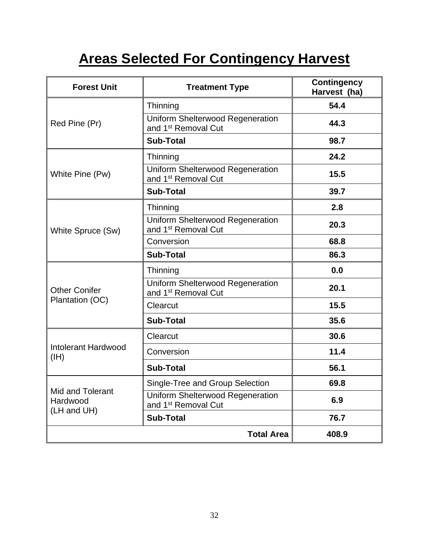# **Areas Selected For Contingency Harvest**

| <b>Forest Unit</b>                          | <b>Treatment Type</b>                                                      | <b>Contingency</b><br>Harvest (ha) |
|---------------------------------------------|----------------------------------------------------------------------------|------------------------------------|
|                                             | Thinning                                                                   | 54.4                               |
| Red Pine (Pr)                               | <b>Uniform Shelterwood Regeneration</b><br>and 1 <sup>st</sup> Removal Cut | 44.3                               |
|                                             | <b>Sub-Total</b>                                                           | 98.7                               |
|                                             | Thinning                                                                   | 24.2                               |
| White Pine (Pw)                             | Uniform Shelterwood Regeneration<br>and 1 <sup>st</sup> Removal Cut        | 15.5                               |
|                                             | <b>Sub-Total</b>                                                           | 39.7                               |
|                                             | Thinning                                                                   | 2.8                                |
| White Spruce (Sw)                           | Uniform Shelterwood Regeneration<br>and 1 <sup>st</sup> Removal Cut        | 20.3                               |
|                                             | Conversion                                                                 | 68.8                               |
|                                             | <b>Sub-Total</b>                                                           | 86.3                               |
|                                             | Thinning                                                                   | 0.0                                |
| <b>Other Conifer</b>                        | <b>Uniform Shelterwood Regeneration</b><br>and 1 <sup>st</sup> Removal Cut | 20.1                               |
| Plantation (OC)                             | Clearcut                                                                   | 15.5                               |
|                                             | <b>Sub-Total</b>                                                           | 35.6                               |
|                                             | Clearcut                                                                   | 30.6                               |
| Intolerant Hardwood<br>(HH)                 | Conversion                                                                 | 11.4                               |
|                                             | <b>Sub-Total</b>                                                           | 56.1                               |
|                                             | Single-Tree and Group Selection                                            | 69.8                               |
| Mid and Tolerant<br>Hardwood<br>(LH and UH) | Uniform Shelterwood Regeneration<br>and 1 <sup>st</sup> Removal Cut        | 6.9                                |
|                                             | <b>Sub-Total</b>                                                           | 76.7                               |
|                                             | <b>Total Area</b>                                                          | 408.9                              |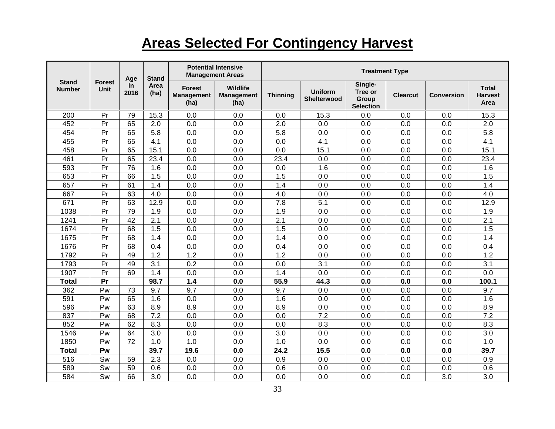# **Areas Selected For Contingency Harvest**

| <b>Stand</b><br><b>Number</b> | <b>Forest</b><br>Unit | Age<br>in.<br>2016 | <b>Stand</b><br>Area<br>(ha) | <b>Potential Intensive</b><br><b>Management Areas</b> |                                       | <b>Treatment Type</b> |                               |                                                        |                 |                   |                                        |
|-------------------------------|-----------------------|--------------------|------------------------------|-------------------------------------------------------|---------------------------------------|-----------------------|-------------------------------|--------------------------------------------------------|-----------------|-------------------|----------------------------------------|
|                               |                       |                    |                              | <b>Forest</b><br><b>Management</b><br>(ha)            | Wildlife<br><b>Management</b><br>(ha) | <b>Thinning</b>       | <b>Uniform</b><br>Shelterwood | Single-<br>Tree or<br><b>Group</b><br><b>Selection</b> | <b>Clearcut</b> | <b>Conversion</b> | <b>Total</b><br><b>Harvest</b><br>Area |
| 200                           | Pr                    | 79                 | 15.3                         | 0.0                                                   | 0.0                                   | 0.0                   | 15.3                          | 0.0                                                    | 0.0             | 0.0               | 15.3                                   |
| 452                           | Pr                    | 65                 | 2.0                          | 0.0                                                   | 0.0                                   | 2.0                   | 0.0                           | 0.0                                                    | 0.0             | 0.0               | 2.0                                    |
| 454                           | Pr                    | 65                 | 5.8                          | 0.0                                                   | 0.0                                   | 5.8                   | 0.0                           | 0.0                                                    | 0.0             | 0.0               | 5.8                                    |
| 455                           | Pr                    | 65                 | 4.1                          | 0.0                                                   | 0.0                                   | 0.0                   | 4.1                           | 0.0                                                    | 0.0             | 0.0               | 4.1                                    |
| 458                           | Pr                    | 65                 | 15.1                         | 0.0                                                   | 0.0                                   | 0.0                   | 15.1                          | 0.0                                                    | 0.0             | 0.0               | 15.1                                   |
| 461                           | Pr                    | 65                 | 23.4                         | 0.0                                                   | 0.0                                   | 23.4                  | 0.0                           | 0.0                                                    | 0.0             | 0.0               | 23.4                                   |
| 593                           | Pr                    | 76                 | 1.6                          | 0.0                                                   | 0.0                                   | 0.0                   | 1.6                           | 0.0                                                    | 0.0             | 0.0               | 1.6                                    |
| 653                           | Pr                    | 66                 | 1.5                          | 0.0                                                   | 0.0                                   | 1.5                   | 0.0                           | 0.0                                                    | 0.0             | 0.0               | 1.5                                    |
| 657                           | Pr                    | 61                 | 1.4                          | 0.0                                                   | 0.0                                   | 1.4                   | 0.0                           | 0.0                                                    | 0.0             | 0.0               | 1.4                                    |
| 667                           | Pr                    | 63                 | 4.0                          | 0.0                                                   | 0.0                                   | 4.0                   | 0.0                           | 0.0                                                    | 0.0             | 0.0               | 4.0                                    |
| 671                           | Pr                    | 63                 | 12.9                         | 0.0                                                   | 0.0                                   | 7.8                   | 5.1                           | 0.0                                                    | 0.0             | 0.0               | 12.9                                   |
| 1038                          | Pr                    | 79                 | 1.9                          | 0.0                                                   | 0.0                                   | 1.9                   | 0.0                           | 0.0                                                    | 0.0             | 0.0               | 1.9                                    |
| 1241                          | Pr                    | 42                 | 2.1                          | 0.0                                                   | 0.0                                   | 2.1                   | 0.0                           | 0.0                                                    | 0.0             | 0.0               | 2.1                                    |
| 1674                          | Pr                    | 68                 | 1.5                          | 0.0                                                   | 0.0                                   | 1.5                   | 0.0                           | 0.0                                                    | 0.0             | 0.0               | 1.5                                    |
| 1675                          | Pr                    | 68                 | 1.4                          | 0.0                                                   | 0.0                                   | 1.4                   | 0.0                           | 0.0                                                    | 0.0             | 0.0               | 1.4                                    |
| 1676                          | Pr                    | 68                 | 0.4                          | 0.0                                                   | 0.0                                   | 0.4                   | 0.0                           | 0.0                                                    | 0.0             | 0.0               | 0.4                                    |
| 1792                          | Pr                    | 49                 | 1.2                          | 1.2                                                   | 0.0                                   | 1.2                   | 0.0                           | 0.0                                                    | 0.0             | 0.0               | 1.2                                    |
| 1793                          | Pr                    | 49                 | 3.1                          | 0.2                                                   | 0.0                                   | 0.0                   | 3.1                           | 0.0                                                    | 0.0             | 0.0               | 3.1                                    |
| 1907                          | Pr                    | 69                 | 1.4                          | 0.0                                                   | 0.0                                   | 1.4                   | 0.0                           | 0.0                                                    | 0.0             | 0.0               | 0.0                                    |
| <b>Total</b>                  | Pr                    |                    | 98.7                         | 1.4                                                   | 0.0                                   | 55.9                  | 44.3                          | 0.0                                                    | 0.0             | 0.0               | 100.1                                  |
| 362                           | Pw                    | 73                 | 9.7                          | 9.7                                                   | 0.0                                   | 9.7                   | 0.0                           | 0.0                                                    | 0.0             | 0.0               | 9.7                                    |
| 591                           | Pw                    | 65                 | 1.6                          | 0.0                                                   | 0.0                                   | 1.6                   | 0.0                           | 0.0                                                    | 0.0             | 0.0               | 1.6                                    |
| 596                           | Pw                    | 63                 | 8.9                          | 8.9                                                   | 0.0                                   | 8.9                   | 0.0                           | 0.0                                                    | 0.0             | 0.0               | 8.9                                    |
| 837                           | Pw                    | 68                 | 7.2                          | 0.0                                                   | 0.0                                   | 0.0                   | 7.2                           | 0.0                                                    | 0.0             | 0.0               | 7.2                                    |
| 852                           | Pw                    | 62                 | 8.3                          | 0.0                                                   | 0.0                                   | 0.0                   | 8.3                           | 0.0                                                    | 0.0             | 0.0               | 8.3                                    |
| 1546                          | Pw                    | 64                 | 3.0                          | 0.0                                                   | 0.0                                   | 3.0                   | 0.0                           | 0.0                                                    | 0.0             | 0.0               | 3.0                                    |
| 1850                          | Pw                    | 72                 | 1.0                          | 1.0                                                   | 0.0                                   | 1.0                   | 0.0                           | 0.0                                                    | 0.0             | 0.0               | 1.0                                    |
| <b>Total</b>                  | Pw                    |                    | 39.7                         | 19.6                                                  | 0.0                                   | 24.2                  | 15.5                          | 0.0                                                    | 0.0             | 0.0               | 39.7                                   |
| 516                           | Sw                    | 59                 | 2.3                          | 0.0                                                   | 0.0                                   | 0.9                   | 0.0                           | 0.0                                                    | 0.0             | 0.0               | 0.9                                    |
| 589                           | Sw                    | 59                 | 0.6                          | 0.0                                                   | 0.0                                   | 0.6                   | 0.0                           | 0.0                                                    | 0.0             | 0.0               | 0.6                                    |
| 584                           | Sw                    | 66                 | 3.0                          | 0.0                                                   | 0.0                                   | 0.0                   | 0.0                           | 0.0                                                    | 0.0             | 3.0               | 3.0                                    |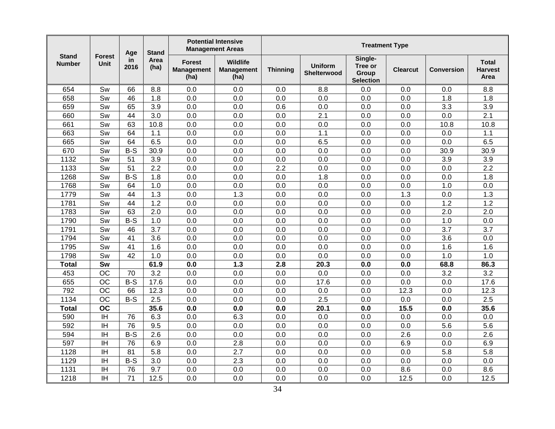| <b>Stand</b><br><b>Number</b> | <b>Forest</b><br>Unit    | Age<br>in.<br>2016 | <b>Stand</b><br>Area<br>(ha) | <b>Potential Intensive</b><br><b>Management Areas</b> |                                              | <b>Treatment Type</b> |                                      |                                                 |                 |                   |                                        |
|-------------------------------|--------------------------|--------------------|------------------------------|-------------------------------------------------------|----------------------------------------------|-----------------------|--------------------------------------|-------------------------------------------------|-----------------|-------------------|----------------------------------------|
|                               |                          |                    |                              | <b>Forest</b><br><b>Management</b><br>(ha)            | <b>Wildlife</b><br><b>Management</b><br>(ha) | <b>Thinning</b>       | <b>Uniform</b><br><b>Shelterwood</b> | Single-<br>Tree or<br>Group<br><b>Selection</b> | <b>Clearcut</b> | <b>Conversion</b> | <b>Total</b><br><b>Harvest</b><br>Area |
| 654                           | Sw                       | 66                 | 8.8                          | 0.0                                                   | 0.0                                          | 0.0                   | 8.8                                  | 0.0                                             | 0.0             | 0.0               | 8.8                                    |
| 658                           | Sw                       | 46                 | 1.8                          | 0.0                                                   | 0.0                                          | 0.0                   | 0.0                                  | 0.0                                             | 0.0             | 1.8               | 1.8                                    |
| 659                           | Sw                       | 65                 | 3.9                          | 0.0                                                   | 0.0                                          | 0.6                   | 0.0                                  | 0.0                                             | 0.0             | 3.3               | 3.9                                    |
| 660                           | Sw                       | 44                 | 3.0                          | 0.0                                                   | 0.0                                          | 0.0                   | 2.1                                  | 0.0                                             | 0.0             | 0.0               | 2.1                                    |
| 661                           | Sw                       | 63                 | 10.8                         | 0.0                                                   | 0.0                                          | 0.0                   | 0.0                                  | 0.0                                             | 0.0             | 10.8              | 10.8                                   |
| 663                           | Sw                       | 64                 | 1.1                          | 0.0                                                   | 0.0                                          | 0.0                   | 1.1                                  | 0.0                                             | 0.0             | 0.0               | 1.1                                    |
| 665                           | Sw                       | 64                 | 6.5                          | 0.0                                                   | 0.0                                          | 0.0                   | 6.5                                  | 0.0                                             | 0.0             | 0.0               | 6.5                                    |
| 670                           | $\overline{\mathsf{Sw}}$ | $B-S$              | 30.9                         | 0.0                                                   | 0.0                                          | 0.0                   | $\overline{0.0}$                     | 0.0                                             | 0.0             | 30.9              | 30.9                                   |
| 1132                          | Sw                       | 51                 | 3.9                          | 0.0                                                   | 0.0                                          | 0.0                   | 0.0                                  | 0.0                                             | 0.0             | 3.9               | $\overline{3.9}$                       |
| 1133                          | Sw                       | 51                 | 2.2                          | 0.0                                                   | 0.0                                          | 2.2                   | 0.0                                  | 0.0                                             | 0.0             | 0.0               | 2.2                                    |
| 1268                          | Sw                       | $B-S$              | 1.8                          | 0.0                                                   | 0.0                                          | 0.0                   | 1.8                                  | 0.0                                             | 0.0             | 0.0               | 1.8                                    |
| 1768                          | Sw                       | 64                 | 1.0                          | 0.0                                                   | 0.0                                          | 0.0                   | 0.0                                  | 0.0                                             | 0.0             | 1.0               | 0.0                                    |
| 1779                          | Sw                       | 44                 | 1.3                          | 0.0                                                   | 1.3                                          | 0.0                   | 0.0                                  | 0.0                                             | 1.3             | 0.0               | 1.3                                    |
| 1781                          | Sw                       | $\overline{44}$    | 1.2                          | 0.0                                                   | 0.0                                          | 0.0                   | 0.0                                  | 0.0                                             | 0.0             | 1.2               | 1.2                                    |
| 1783                          | Sw                       | 63                 | 2.0                          | 0.0                                                   | 0.0                                          | 0.0                   | 0.0                                  | 0.0                                             | 0.0             | 2.0               | $\overline{2.0}$                       |
| 1790                          | Sw                       | $B-S$              | 1.0                          | 0.0                                                   | 0.0                                          | 0.0                   | 0.0                                  | 0.0                                             | 0.0             | 1.0               | 0.0                                    |
| 1791                          | Sw                       | 46                 | $\overline{3.7}$             | 0.0                                                   | 0.0                                          | 0.0                   | 0.0                                  | 0.0                                             | 0.0             | $\overline{3.7}$  | $\overline{3.7}$                       |
| 1794                          | Sw                       | 41                 | $\overline{3.6}$             | 0.0                                                   | 0.0                                          | 0.0                   | 0.0                                  | 0.0                                             | 0.0             | 3.6               | 0.0                                    |
| 1795                          | Sw                       | 41                 | 1.6                          | 0.0                                                   | 0.0                                          | 0.0                   | 0.0                                  | 0.0                                             | 0.0             | 1.6               | 1.6                                    |
| 1798                          | Sw                       | 42                 | 1.0                          | 0.0                                                   | 0.0                                          | 0.0                   | 0.0                                  | 0.0                                             | 0.0             | 1.0               | 1.0                                    |
| <b>Total</b>                  | Sw                       |                    | 61.9                         | 0.0                                                   | 1.3                                          | 2.8                   | 20.3                                 | 0.0                                             | 0.0             | 68.8              | 86.3                                   |
| 453                           | <b>OC</b>                | 70                 | 3.2                          | 0.0                                                   | 0.0                                          | 0.0                   | 0.0                                  | 0.0                                             | 0.0             | 3.2               | 3.2                                    |
| 655                           | $\overline{OC}$          | $B-S$              | 17.6                         | 0.0                                                   | 0.0                                          | 0.0                   | 17.6                                 | 0.0                                             | 0.0             | 0.0               | 17.6                                   |
| 792                           | <b>OC</b>                | 66                 | 12.3                         | 0.0                                                   | 0.0                                          | 0.0                   | 0.0                                  | 0.0                                             | 12.3            | 0.0               | 12.3                                   |
| 1134                          | <b>OC</b>                | $B-S$              | 2.5                          | 0.0                                                   | 0.0                                          | 0.0                   | 2.5                                  | 0.0                                             | 0.0             | 0.0               | 2.5                                    |
| <b>Total</b>                  | <b>OC</b>                |                    | 35.6                         | 0.0                                                   | 0.0                                          | 0.0                   | 20.1                                 | 0.0                                             | 15.5            | 0.0               | 35.6                                   |
| 590                           | <b>IH</b>                | 76                 | 6.3                          | 0.0                                                   | 6.3                                          | 0.0                   | 0.0                                  | 0.0                                             | 0.0             | 0.0               | 0.0                                    |
| 592                           | IH                       | 76                 | 9.5                          | 0.0                                                   | 0.0                                          | 0.0                   | 0.0                                  | 0.0                                             | 0.0             | 5.6               | 5.6                                    |
| 594                           | <b>IH</b>                | $B-S$              | 2.6                          | 0.0                                                   | 0.0                                          | 0.0                   | 0.0                                  | 0.0                                             | 2.6             | 0.0               | 2.6                                    |
| 597                           | <b>IH</b>                | 76                 | 6.9                          | 0.0                                                   | 2.8                                          | 0.0                   | 0.0                                  | 0.0                                             | 6.9             | 0.0               | 6.9                                    |
| 1128                          | IH                       | 81                 | 5.8                          | 0.0                                                   | $\overline{2.7}$                             | 0.0                   | 0.0                                  | 0.0                                             | 0.0             | 5.8               | 5.8                                    |
| 1129                          | IH                       | $B-S$              | 3.0                          | 0.0                                                   | 2.3                                          | 0.0                   | 0.0                                  | 0.0                                             | 0.0             | 0.0               | 0.0                                    |
| 1131                          | $\overline{\mathbb{H}}$  | 76                 | 9.7                          | 0.0                                                   | 0.0                                          | 0.0                   | 0.0                                  | 0.0                                             | 8.6             | 0.0               | 8.6                                    |
| 1218                          | <b>IH</b>                | 71                 | 12.5                         | 0.0                                                   | 0.0                                          | 0.0                   | 0.0                                  | 0.0                                             | 12.5            | 0.0               | 12.5                                   |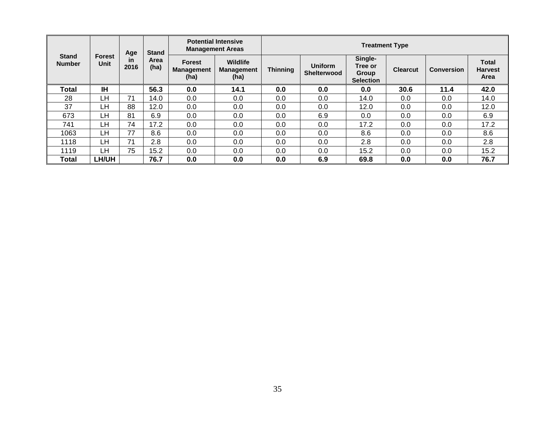| <b>Stand</b><br><b>Number</b> | <b>Forest</b><br><b>Unit</b> | Age<br><b>in</b><br>2016 | <b>Stand</b><br>Area<br>(ha) | <b>Potential Intensive</b><br><b>Management Areas</b> |                                              | <b>Treatment Type</b> |                                      |                                                 |                 |                   |                                        |
|-------------------------------|------------------------------|--------------------------|------------------------------|-------------------------------------------------------|----------------------------------------------|-----------------------|--------------------------------------|-------------------------------------------------|-----------------|-------------------|----------------------------------------|
|                               |                              |                          |                              | <b>Forest</b><br><b>Management</b><br>(ha)            | <b>Wildlife</b><br><b>Management</b><br>(ha) | <b>Thinning</b>       | <b>Uniform</b><br><b>Shelterwood</b> | Single-<br>Tree or<br>Group<br><b>Selection</b> | <b>Clearcut</b> | <b>Conversion</b> | <b>Total</b><br><b>Harvest</b><br>Area |
| <b>Total</b>                  | <b>IH</b>                    |                          | 56.3                         | 0.0                                                   | 14.1                                         | 0.0                   | 0.0                                  | 0.0                                             | 30.6            | 11.4              | 42.0                                   |
| 28                            | LH                           | 71                       | 14.0                         | 0.0                                                   | 0.0                                          | 0.0                   | 0.0                                  | 14.0                                            | 0.0             | 0.0               | 14.0                                   |
| 37                            | LН                           | 88                       | 12.0                         | 0.0                                                   | 0.0                                          | 0.0                   | 0.0                                  | 12.0                                            | 0.0             | 0.0               | 12.0                                   |
| 673                           | LН                           | 81                       | 6.9                          | 0.0                                                   | 0.0                                          | 0.0                   | 6.9                                  | 0.0                                             | 0.0             | 0.0               | 6.9                                    |
| 741                           | LН                           | 74                       | 17.2                         | 0.0                                                   | 0.0                                          | 0.0                   | 0.0                                  | 17.2                                            | 0.0             | 0.0               | 17.2                                   |
| 1063                          | LН                           | 77                       | 8.6                          | 0.0                                                   | 0.0                                          | 0.0                   | 0.0                                  | 8.6                                             | 0.0             | 0.0               | 8.6                                    |
| 1118                          | LН                           | 71                       | 2.8                          | 0.0                                                   | 0.0                                          | 0.0                   | 0.0                                  | 2.8                                             | 0.0             | 0.0               | 2.8                                    |
| 1119                          | LH                           | 75                       | 15.2                         | 0.0                                                   | 0.0                                          | 0.0                   | 0.0                                  | 15.2                                            | 0.0             | 0.0               | 15.2                                   |
| Total                         | LH/UH                        |                          | 76.7                         | 0.0                                                   | 0.0                                          | 0.0                   | 6.9                                  | 69.8                                            | 0.0             | 0.0               | 76.7                                   |